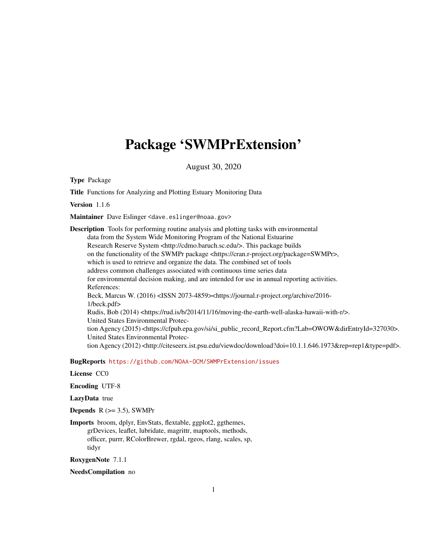# <span id="page-0-0"></span>Package 'SWMPrExtension'

August 30, 2020

Type Package

Title Functions for Analyzing and Plotting Estuary Monitoring Data

Version 1.1.6

Maintainer Dave Eslinger <dave.eslinger@noaa.gov>

Description Tools for performing routine analysis and plotting tasks with environmental data from the System Wide Monitoring Program of the National Estuarine Research Reserve System <http://cdmo.baruch.sc.edu/>. This package builds on the functionality of the SWMPr package <https://cran.r-project.org/package=SWMPr>, which is used to retrieve and organize the data. The combined set of tools address common challenges associated with continuous time series data for environmental decision making, and are intended for use in annual reporting activities. References: Beck, Marcus W. (2016) <ISSN 2073-4859><https://journal.r-project.org/archive/2016-1/beck.pdf> Rudis, Bob (2014) <https://rud.is/b/2014/11/16/moving-the-earth-well-alaska-hawaii-with-r/>. United States Environmental Protection Agency (2015) <https://cfpub.epa.gov/si/si\_public\_record\_Report.cfm?Lab=OWOW&dirEntryId=327030>. United States Environmental Protection Agency (2012) <http://citeseerx.ist.psu.edu/viewdoc/download?doi=10.1.1.646.1973&rep=rep1&type=pdf>.

BugReports <https://github.com/NOAA-OCM/SWMPrExtension/issues>

License CC0

Encoding UTF-8

LazyData true

**Depends**  $R$  ( $>= 3.5$ ), SWMPr

Imports broom, dplyr, EnvStats, flextable, ggplot2, ggthemes, grDevices, leaflet, lubridate, magrittr, maptools, methods, officer, purrr, RColorBrewer, rgdal, rgeos, rlang, scales, sp, tidyr

RoxygenNote 7.1.1

NeedsCompilation no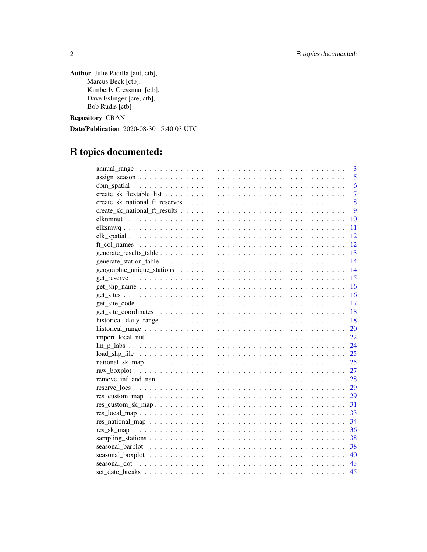Author Julie Padilla [aut, ctb], Marcus Beck [ctb], Kimberly Cressman [ctb], Dave Eslinger [cre, ctb], Bob Rudis [ctb]

Repository CRAN

Date/Publication 2020-08-30 15:40:03 UTC

# R topics documented:

| 3                            |
|------------------------------|
| 5                            |
| 6                            |
| $\overline{7}$               |
| 8                            |
| 9                            |
| 10                           |
| 11                           |
| 12                           |
| 12                           |
| 13                           |
| 14                           |
| 14                           |
| 15                           |
| 16                           |
| 16                           |
| -17                          |
| 18                           |
| 18                           |
| 20                           |
| 22                           |
| 24                           |
| 25                           |
| 25                           |
| 27                           |
| 28                           |
| 29                           |
| 29                           |
| 31<br>$res\_custom\_sk\_map$ |
| 33                           |
| 34                           |
| 36                           |
| 38                           |
| 38                           |
| 40                           |
| 43                           |
| 45                           |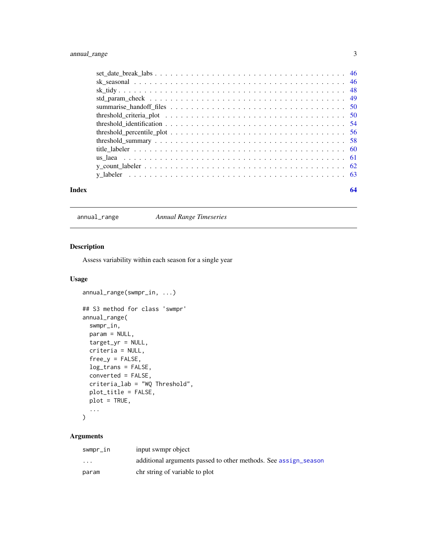# <span id="page-2-0"></span>annual\_range 3

| Index | 64 |
|-------|----|

annual\_range *Annual Range Timeseries*

# Description

Assess variability within each season for a single year

# Usage

```
annual_range(swmpr_in, ...)
## S3 method for class 'swmpr'
annual_range(
 swmpr_in,
 param = NULL,
  target\_yr = NULL,criteria = NULL,
  free_y = FALSE,log_trans = FALSE,
 converted = FALSE,
 criteria_lab = "WQ Threshold",
 plot_title = FALSE,
 plot = TRUE,
  ...
\mathcal{L}
```
# Arguments

| swmpr_in                | input swmpr object                                              |
|-------------------------|-----------------------------------------------------------------|
| $\cdot$ $\cdot$ $\cdot$ | additional arguments passed to other methods. See assign_season |
| param                   | chr string of variable to plot                                  |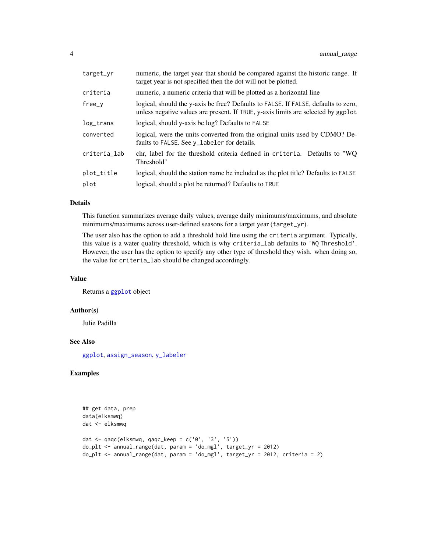<span id="page-3-0"></span>

| target_yr       | numeric, the target year that should be compared against the historic range. If<br>target year is not specified then the dot will not be plotted.                       |
|-----------------|-------------------------------------------------------------------------------------------------------------------------------------------------------------------------|
| criteria        | numeric, a numeric criteria that will be plotted as a horizontal line                                                                                                   |
| $free_v$        | logical, should the y-axis be free? Defaults to FALSE. If FALSE, defaults to zero,<br>unless negative values are present. If TRUE, y-axis limits are selected by ggplot |
| $log_{1}$ trans | logical, should y-axis be log? Defaults to FALSE                                                                                                                        |
| converted       | logical, were the units converted from the original units used by CDMO? De-<br>faults to FALSE. See y_labeler for details.                                              |
| criteria_lab    | chr, label for the threshold criteria defined in criteria. Defaults to "WO<br>Threshold"                                                                                |
| plot_title      | logical, should the station name be included as the plot title? Defaults to FALSE                                                                                       |
| plot            | logical, should a plot be returned? Defaults to TRUE                                                                                                                    |

#### Details

This function summarizes average daily values, average daily minimums/maximums, and absolute minimums/maximums across user-defined seasons for a target year (target\_yr).

The user also has the option to add a threshold hold line using the criteria argument. Typically, this value is a water quality threshold, which is why criteria\_lab defaults to 'WQ Threshold'. However, the user has the option to specify any other type of threshold they wish. when doing so, the value for criteria\_lab should be changed accordingly.

# Value

Returns a [ggplot](#page-0-0) object

# Author(s)

Julie Padilla

# See Also

[ggplot](#page-0-0), [assign\\_season](#page-4-1), [y\\_labeler](#page-62-1)

# Examples

```
## get data, prep
data(elksmwq)
dat <- elksmwq
dat \leq qaqc(elksmwq, qaqc_keep = c('0', '3', '5'))
do_plt <- annual_range(dat, param = 'do_mgl', target_yr = 2012)
do_plt <- annual_range(dat, param = 'do_mgl', target_yr = 2012, criteria = 2)
```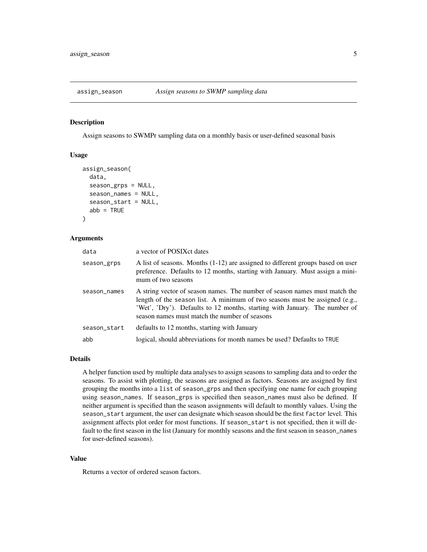<span id="page-4-1"></span><span id="page-4-0"></span>

# Description

Assign seasons to SWMPr sampling data on a monthly basis or user-defined seasonal basis

#### Usage

```
assign_season(
  data,
  season_grps = NULL,
  season_names = NULL,
  season_start = NULL,
  abb = TRUE)
```
#### Arguments

| data         | a vector of POSIX ct dates                                                                                                                                                                                                                                                               |
|--------------|------------------------------------------------------------------------------------------------------------------------------------------------------------------------------------------------------------------------------------------------------------------------------------------|
| season_grps  | A list of seasons. Months $(1-12)$ are assigned to different groups based on user<br>preference. Defaults to 12 months, starting with January. Must assign a mini-<br>mum of two seasons                                                                                                 |
| season_names | A string vector of season names. The number of season names must match the<br>length of the season list. A minimum of two seasons must be assigned (e.g.,<br>'Wet', 'Dry'). Defaults to 12 months, starting with January. The number of<br>season names must match the number of seasons |
| season_start | defaults to 12 months, starting with January                                                                                                                                                                                                                                             |
| abb          | logical, should abbreviations for month names be used? Defaults to TRUE                                                                                                                                                                                                                  |

#### Details

A helper function used by multiple data analyses to assign seasons to sampling data and to order the seasons. To assist with plotting, the seasons are assigned as factors. Seasons are assigned by first grouping the months into a list of season\_grps and then specifying one name for each grouping using season\_names. If season\_grps is specified then season\_names must also be defined. If neither argument is specified than the season assignments will default to monthly values. Using the season\_start argument, the user can designate which season should be the first factor level. This assignment affects plot order for most functions. If season\_start is not specified, then it will default to the first season in the list (January for monthly seasons and the first season in season\_names for user-defined seasons).

#### Value

Returns a vector of ordered season factors.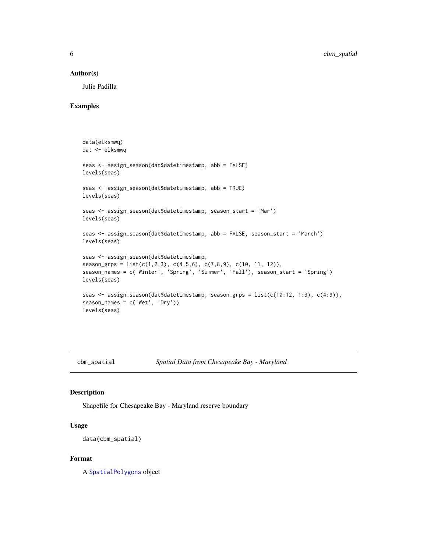#### <span id="page-5-0"></span>Author(s)

Julie Padilla

#### Examples

```
data(elksmwq)
dat <- elksmwq
seas <- assign_season(dat$datetimestamp, abb = FALSE)
levels(seas)
seas <- assign_season(dat$datetimestamp, abb = TRUE)
levels(seas)
seas <- assign_season(dat$datetimestamp, season_start = 'Mar')
levels(seas)
seas <- assign_season(dat$datetimestamp, abb = FALSE, season_start = 'March')
levels(seas)
seas <- assign_season(dat$datetimestamp,
season_grps = list(c(1,2,3), c(4,5,6), c(7,8,9), c(10, 11, 12)),
season_names = c('Winter', 'Spring', 'Summer', 'Fall'), season_start = 'Spring')
levels(seas)
seas <- assign_season(dat$datetimestamp, season_grps = list(c(10:12, 1:3), c(4:9)),
season_names = c('Wet', 'Dry'))
levels(seas)
```
cbm\_spatial *Spatial Data from Chesapeake Bay - Maryland*

#### Description

Shapefile for Chesapeake Bay - Maryland reserve boundary

# Usage

```
data(cbm_spatial)
```
#### Format

A [SpatialPolygons](#page-0-0) object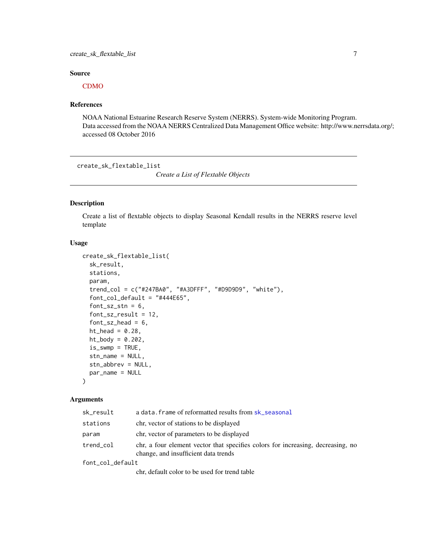# <span id="page-6-0"></span>create\_sk\_flextable\_list 7

# Source

#### [CDMO](http://cdmo.baruch.sc.edu/get/gis.cfm)

#### References

NOAA National Estuarine Research Reserve System (NERRS). System-wide Monitoring Program. Data accessed from the NOAA NERRS Centralized Data Management Office website: http://www.nerrsdata.org/; accessed 08 October 2016

<span id="page-6-1"></span>create\_sk\_flextable\_list

*Create a List of Flextable Objects*

# Description

Create a list of flextable objects to display Seasonal Kendall results in the NERRS reserve level template

#### Usage

```
create_sk_flextable_list(
  sk_result,
  stations,
  param,
  trend_col = c("#247BA0", "#A3DFFF", "#D9D9D9", "white"),
  font\_col\_default = "#444E65",font_sz_stn = 6,
  font_sz_result = 12,
  font\_sz\_head = 6,
  ht\_head = 0.28,
  ht\_body = 0.202,is\_swmp = TRUE,stn_name = NULL,
  stn_abbrev = NULL,
  par_name = NULL
\lambda
```
#### Arguments

| sk_result        | a data. frame of reformatted results from sk_seasonal                                                                   |
|------------------|-------------------------------------------------------------------------------------------------------------------------|
| stations         | chr, vector of stations to be displayed                                                                                 |
| param            | chr, vector of parameters to be displayed                                                                               |
| trend_col        | chr, a four element vector that specifies colors for increasing, decreasing, no<br>change, and insufficient data trends |
| font_col_default |                                                                                                                         |
|                  |                                                                                                                         |

chr, default color to be used for trend table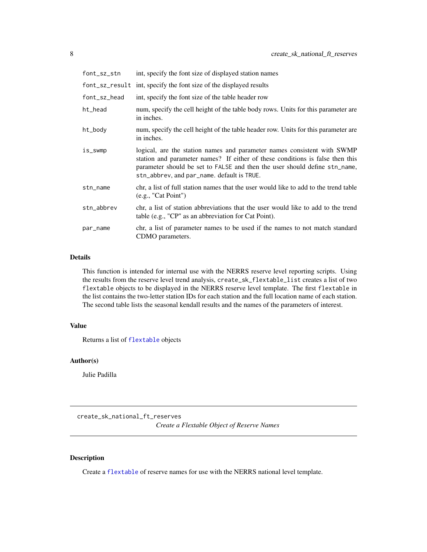<span id="page-7-0"></span>

| font_sz_stn  | int, specify the font size of displayed station names                                                                                                                                                                                                                                |
|--------------|--------------------------------------------------------------------------------------------------------------------------------------------------------------------------------------------------------------------------------------------------------------------------------------|
|              | font_sz_result int, specify the font size of the displayed results                                                                                                                                                                                                                   |
| font_sz_head | int, specify the font size of the table header row                                                                                                                                                                                                                                   |
| ht_head      | num, specify the cell height of the table body rows. Units for this parameter are<br>in inches.                                                                                                                                                                                      |
| ht_body      | num, specify the cell height of the table header row. Units for this parameter are<br>in inches.                                                                                                                                                                                     |
| is_swmp      | logical, are the station names and parameter names consistent with SWMP<br>station and parameter names? If either of these conditions is false then this<br>parameter should be set to FALSE and then the user should define stn_name,<br>stn_abbrev, and par_name. default is TRUE. |
| stn_name     | chr, a list of full station names that the user would like to add to the trend table<br>(e.g., "Cat Point")                                                                                                                                                                          |
| stn_abbrev   | chr, a list of station abbreviations that the user would like to add to the trend<br>table (e.g., "CP" as an abbreviation for Cat Point).                                                                                                                                            |
| par_name     | chr, a list of parameter names to be used if the names to not match standard<br>CDMO parameters.                                                                                                                                                                                     |

# Details

This function is intended for internal use with the NERRS reserve level reporting scripts. Using the results from the reserve level trend analysis, create\_sk\_flextable\_list creates a list of two flextable objects to be displayed in the NERRS reserve level template. The first flextable in the list contains the two-letter station IDs for each station and the full location name of each station. The second table lists the seasonal kendall results and the names of the parameters of interest.

# Value

Returns a list of [flextable](#page-0-0) objects

# Author(s)

Julie Padilla

create\_sk\_national\_ft\_reserves

*Create a Flextable Object of Reserve Names*

#### Description

Create a [flextable](#page-0-0) of reserve names for use with the NERRS national level template.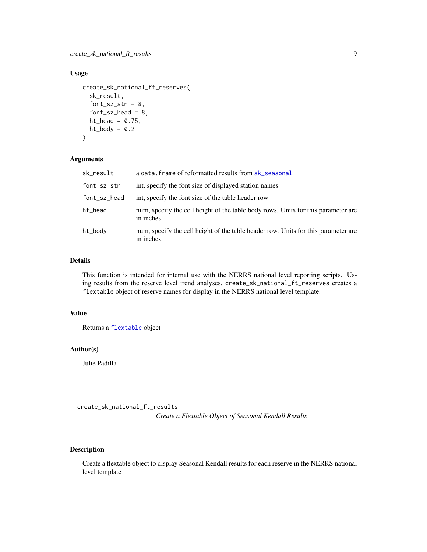# <span id="page-8-0"></span>Usage

```
create_sk_national_ft_reserves(
  sk_result,
  font_sz_stn = 8,
  font\_sz\_head = 8,ht\_head = 0.75,
  ht\_body = 0.2)
```
#### Arguments

| sk_result    | a data. frame of reformatted results from sk_seasonal                                            |
|--------------|--------------------------------------------------------------------------------------------------|
| font_sz_stn  | int, specify the font size of displayed station names                                            |
| font_sz_head | int, specify the font size of the table header row                                               |
| ht_head      | num, specify the cell height of the table body rows. Units for this parameter are<br>in inches.  |
| ht_body      | num, specify the cell height of the table header row. Units for this parameter are<br>in inches. |

# Details

This function is intended for internal use with the NERRS national level reporting scripts. Using results from the reserve level trend analyses, create\_sk\_national\_ft\_reserves creates a flextable object of reserve names for display in the NERRS national level template.

# Value

Returns a [flextable](#page-0-0) object

# Author(s)

Julie Padilla

create\_sk\_national\_ft\_results

*Create a Flextable Object of Seasonal Kendall Results*

# Description

Create a flextable object to display Seasonal Kendall results for each reserve in the NERRS national level template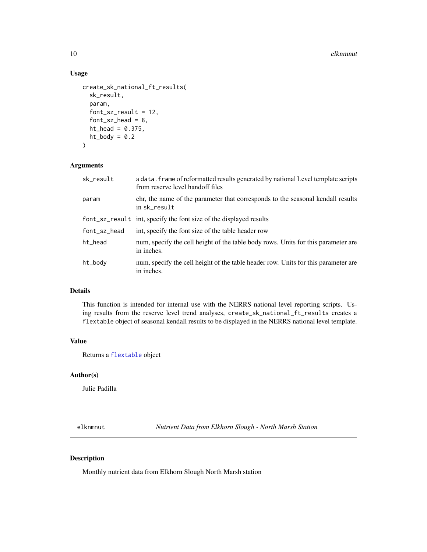#### <span id="page-9-0"></span>10 elknmnut elknmnut elknmnut elknmnut elknmnut elknmnut elknmnut elknmnut elknmnut elknmnut elknmnut elknmnut

# Usage

```
create_sk_national_ft_results(
  sk_result,
  param,
  font_sz_result = 12,
  font\_sz\_head = 8,ht_head = 0.375,
 ht\_body = 0.2)
```
#### Arguments

| sk_result    | a data. frame of reformatted results generated by national Level template scripts<br>from reserve level handoff files |
|--------------|-----------------------------------------------------------------------------------------------------------------------|
| param        | chr, the name of the parameter that corresponds to the seasonal kendall results<br>in sk_result                       |
|              | font_sz_result int, specify the font size of the displayed results                                                    |
| font_sz_head | int, specify the font size of the table header row                                                                    |
| ht_head      | num, specify the cell height of the table body rows. Units for this parameter are<br>in inches.                       |
| ht_body      | num, specify the cell height of the table header row. Units for this parameter are<br>in inches.                      |

# Details

This function is intended for internal use with the NERRS national level reporting scripts. Using results from the reserve level trend analyses, create\_sk\_national\_ft\_results creates a flextable object of seasonal kendall results to be displayed in the NERRS national level template.

# Value

Returns a [flextable](#page-0-0) object

# Author(s)

Julie Padilla

elknmnut *Nutrient Data from Elkhorn Slough - North Marsh Station*

# Description

Monthly nutrient data from Elkhorn Slough North Marsh station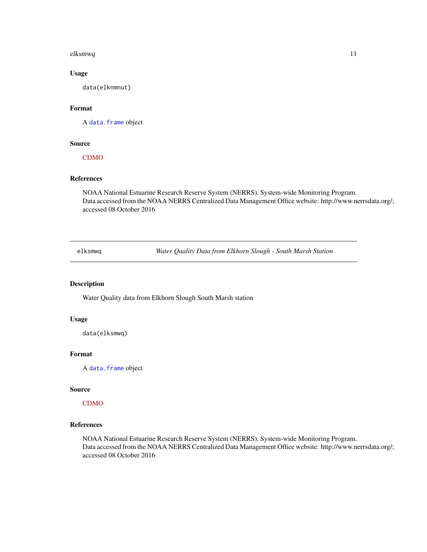#### <span id="page-10-0"></span>elksmwq 11

# Usage

data(elknmnut)

# Format

A [data.frame](#page-0-0) object

#### Source

[CDMO](http://cdmo.baruch.sc.edu/)

#### References

NOAA National Estuarine Research Reserve System (NERRS). System-wide Monitoring Program. Data accessed from the NOAA NERRS Centralized Data Management Office website: http://www.nerrsdata.org/; accessed 08 October 2016

elksmwq *Water Quality Data from Elkhorn Slough - South Marsh Station*

# Description

Water Quality data from Elkhorn Slough South Marsh station

# Usage

data(elksmwq)

# Format

A [data.frame](#page-0-0) object

#### Source

[CDMO](http://cdmo.baruch.sc.edu/)

# References

NOAA National Estuarine Research Reserve System (NERRS). System-wide Monitoring Program. Data accessed from the NOAA NERRS Centralized Data Management Office website: http://www.nerrsdata.org/; accessed 08 October 2016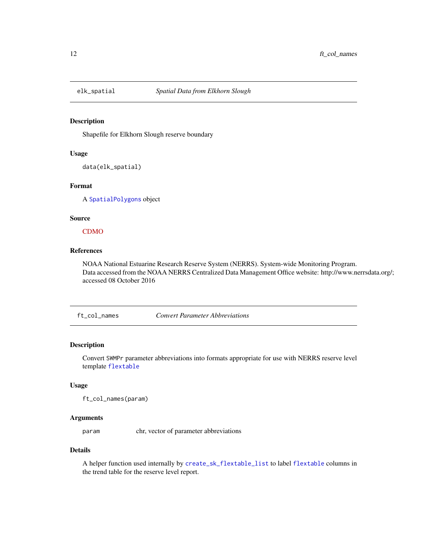<span id="page-11-0"></span>

#### Description

Shapefile for Elkhorn Slough reserve boundary

# Usage

data(elk\_spatial)

#### Format

A [SpatialPolygons](#page-0-0) object

# Source

[CDMO](http://cdmo.baruch.sc.edu/get/gis.cfm)

# References

NOAA National Estuarine Research Reserve System (NERRS). System-wide Monitoring Program. Data accessed from the NOAA NERRS Centralized Data Management Office website: http://www.nerrsdata.org/; accessed 08 October 2016

ft\_col\_names *Convert Parameter Abbreviations*

# Description

Convert SWMPr parameter abbreviations into formats appropriate for use with NERRS reserve level template [flextable](#page-0-0)

#### Usage

ft\_col\_names(param)

# Arguments

param chr, vector of parameter abbreviations

#### Details

A helper function used internally by [create\\_sk\\_flextable\\_list](#page-6-1) to label [flextable](#page-0-0) columns in the trend table for the reserve level report.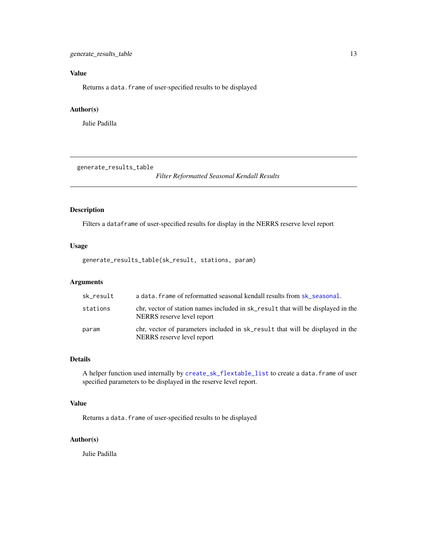# <span id="page-12-0"></span>Value

Returns a data. frame of user-specified results to be displayed

# Author(s)

Julie Padilla

generate\_results\_table

*Filter Reformatted Seasonal Kendall Results*

# Description

Filters a dataframe of user-specified results for display in the NERRS reserve level report

# Usage

```
generate_results_table(sk_result, stations, param)
```
# Arguments

| sk result | a data. frame of reformatted seasonal kendall results from sk_seasonal.                                        |
|-----------|----------------------------------------------------------------------------------------------------------------|
| stations  | chr, vector of station names included in sk_result that will be displayed in the<br>NERRS reserve level report |
| param     | chr, vector of parameters included in sk_result that will be displayed in the<br>NERRS reserve level report    |

# Details

A helper function used internally by [create\\_sk\\_flextable\\_list](#page-6-1) to create a data.frame of user specified parameters to be displayed in the reserve level report.

#### Value

Returns a data.frame of user-specified results to be displayed

# Author(s)

Julie Padilla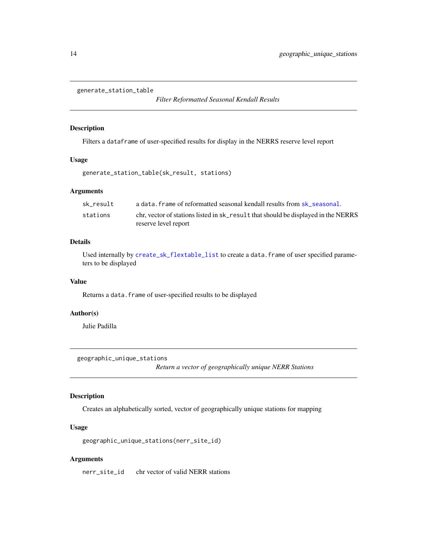<span id="page-13-0"></span>generate\_station\_table

*Filter Reformatted Seasonal Kendall Results*

# Description

Filters a dataframe of user-specified results for display in the NERRS reserve level report

#### Usage

```
generate_station_table(sk_result, stations)
```
# Arguments

| sk result | a data, frame of reformatted seasonal kendall results from sk seasonal.           |
|-----------|-----------------------------------------------------------------------------------|
| stations  | chr, vector of stations listed in sk_result that should be displayed in the NERRS |
|           | reserve level report                                                              |

# Details

Used internally by [create\\_sk\\_flextable\\_list](#page-6-1) to create a data.frame of user specified parameters to be displayed

#### Value

Returns a data.frame of user-specified results to be displayed

# Author(s)

Julie Padilla

geographic\_unique\_stations

*Return a vector of geographically unique NERR Stations*

# Description

Creates an alphabetically sorted, vector of geographically unique stations for mapping

#### Usage

geographic\_unique\_stations(nerr\_site\_id)

# Arguments

nerr\_site\_id chr vector of valid NERR stations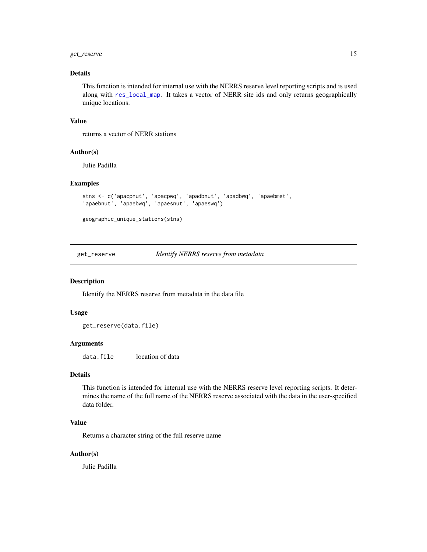# <span id="page-14-0"></span>get\_reserve 15

# Details

This function is intended for internal use with the NERRS reserve level reporting scripts and is used along with [res\\_local\\_map](#page-32-1). It takes a vector of NERR site ids and only returns geographically unique locations.

#### Value

returns a vector of NERR stations

#### Author(s)

Julie Padilla

# Examples

```
stns <- c('apacpnut', 'apacpwq', 'apadbnut', 'apadbwq', 'apaebmet',
'apaebnut', 'apaebwq', 'apaesnut', 'apaeswq')
```

```
geographic_unique_stations(stns)
```
get\_reserve *Identify NERRS reserve from metadata*

#### Description

Identify the NERRS reserve from metadata in the data file

#### Usage

get\_reserve(data.file)

#### Arguments

data.file location of data

# Details

This function is intended for internal use with the NERRS reserve level reporting scripts. It determines the name of the full name of the NERRS reserve associated with the data in the user-specified data folder.

#### Value

Returns a character string of the full reserve name

#### Author(s)

Julie Padilla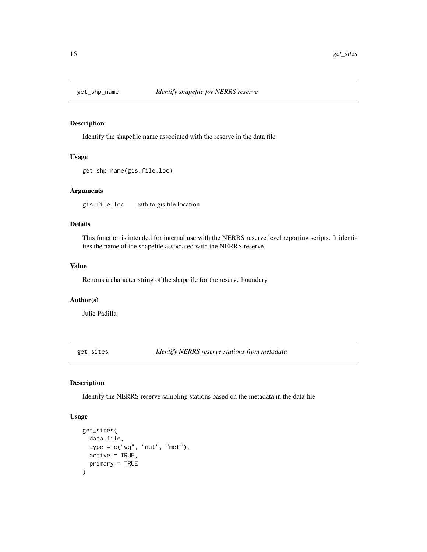<span id="page-15-0"></span>

# Description

Identify the shapefile name associated with the reserve in the data file

# Usage

```
get_shp_name(gis.file.loc)
```
#### Arguments

gis.file.loc path to gis file location

# Details

This function is intended for internal use with the NERRS reserve level reporting scripts. It identifies the name of the shapefile associated with the NERRS reserve.

#### Value

Returns a character string of the shapefile for the reserve boundary

#### Author(s)

Julie Padilla

get\_sites *Identify NERRS reserve stations from metadata*

# Description

Identify the NERRS reserve sampling stations based on the metadata in the data file

#### Usage

```
get_sites(
  data.file,
  type = c("wq", "nut", "met"),
  active = TRUE,primary = TRUE
)
```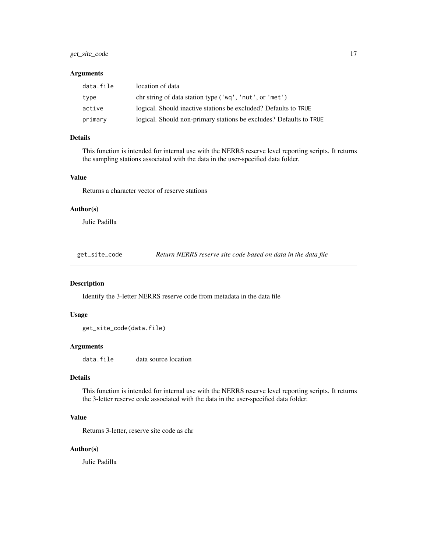# <span id="page-16-0"></span>get\_site\_code 17

# Arguments

| data.file | location of data                                                   |
|-----------|--------------------------------------------------------------------|
| type      | chr string of data station type ('wq', 'nut', or 'met')            |
| active    | logical. Should inactive stations be excluded? Defaults to TRUE    |
| primary   | logical. Should non-primary stations be excludes? Defaults to TRUE |

#### Details

This function is intended for internal use with the NERRS reserve level reporting scripts. It returns the sampling stations associated with the data in the user-specified data folder.

#### Value

Returns a character vector of reserve stations

#### Author(s)

Julie Padilla

get\_site\_code *Return NERRS reserve site code based on data in the data file*

# Description

Identify the 3-letter NERRS reserve code from metadata in the data file

#### Usage

get\_site\_code(data.file)

### Arguments

data.file data source location

#### Details

This function is intended for internal use with the NERRS reserve level reporting scripts. It returns the 3-letter reserve code associated with the data in the user-specified data folder.

# Value

Returns 3-letter, reserve site code as chr

#### Author(s)

Julie Padilla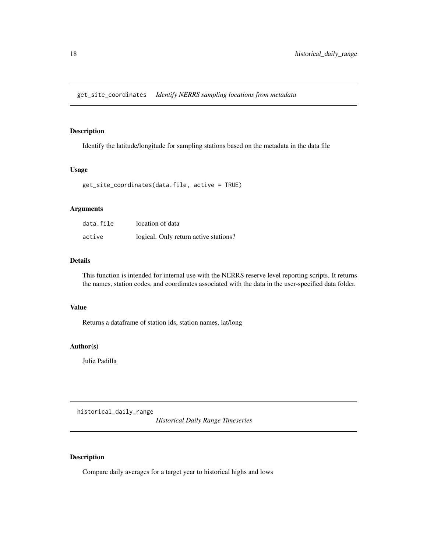<span id="page-17-0"></span>get\_site\_coordinates *Identify NERRS sampling locations from metadata*

#### Description

Identify the latitude/longitude for sampling stations based on the metadata in the data file

# Usage

```
get_site_coordinates(data.file, active = TRUE)
```
### Arguments

| data.file | location of data                      |
|-----------|---------------------------------------|
| active    | logical. Only return active stations? |

# Details

This function is intended for internal use with the NERRS reserve level reporting scripts. It returns the names, station codes, and coordinates associated with the data in the user-specified data folder.

#### Value

Returns a dataframe of station ids, station names, lat/long

# Author(s)

Julie Padilla

historical\_daily\_range

*Historical Daily Range Timeseries*

# Description

Compare daily averages for a target year to historical highs and lows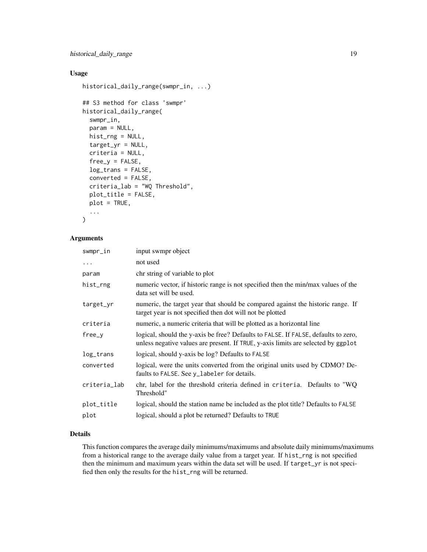# Usage

```
historical_daily_range(swmpr_in, ...)
```

```
## S3 method for class 'swmpr'
historical_daily_range(
  swmpr_in,
 param = NULL,
  hist_rng = NULL,
  target_yr = NULL,
  criteria = NULL,
  free_y = FALSE,
  log_trans = FALSE,
  converted = FALSE,
  criteria_lab = "WQ Threshold",
  plot_title = FALSE,
 plot = TRUE,
  ...
\mathcal{L}
```
# Arguments

| swmpr_in     | input swmpr object                                                                                                                                                      |
|--------------|-------------------------------------------------------------------------------------------------------------------------------------------------------------------------|
| $\ddots$     | not used                                                                                                                                                                |
| param        | chr string of variable to plot                                                                                                                                          |
| hist_rng     | numeric vector, if historic range is not specified then the min/max values of the<br>data set will be used.                                                             |
| target_yr    | numeric, the target year that should be compared against the historic range. If<br>target year is not specified then dot will not be plotted                            |
| criteria     | numeric, a numeric criteria that will be plotted as a horizontal line                                                                                                   |
| $free_v$     | logical, should the y-axis be free? Defaults to FALSE. If FALSE, defaults to zero,<br>unless negative values are present. If TRUE, y-axis limits are selected by ggplot |
| log_trans    | logical, should y-axis be log? Defaults to FALSE                                                                                                                        |
| converted    | logical, were the units converted from the original units used by CDMO? De-<br>faults to FALSE. See y_labeler for details.                                              |
| criteria_lab | chr, label for the threshold criteria defined in criteria. Defaults to "WQ<br>Threshold"                                                                                |
| plot_title   | logical, should the station name be included as the plot title? Defaults to FALSE                                                                                       |
| plot         | logical, should a plot be returned? Defaults to TRUE                                                                                                                    |

# Details

This function compares the average daily minimums/maximums and absolute daily minimums/maximums from a historical range to the average daily value from a target year. If hist\_rng is not specified then the minimum and maximum years within the data set will be used. If target\_yr is not specified then only the results for the hist\_rng will be returned.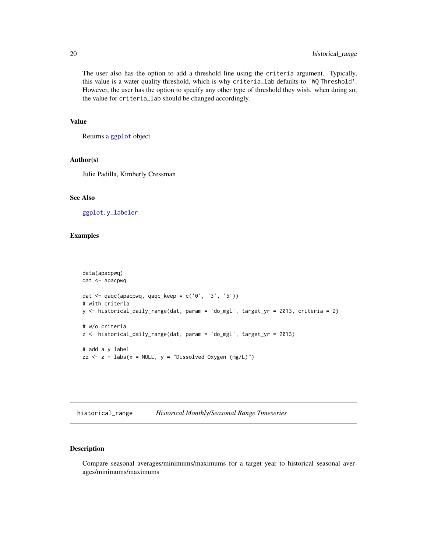<span id="page-19-0"></span>The user also has the option to add a threshold line using the criteria argument. Typically, this value is a water quality threshold, which is why criteria\_lab defaults to 'WQ Threshold'. However, the user has the option to specify any other type of threshold they wish. when doing so, the value for criteria\_lab should be changed accordingly.

#### Value

Returns a [ggplot](#page-0-0) object

#### Author(s)

Julie Padilla, Kimberly Cressman

# See Also

[ggplot](#page-0-0), [y\\_labeler](#page-62-1)

#### Examples

```
data(apacpwq)
dat <- apacpwq
dat \leq qaqc(apacpwq, qaqc_keep = c('0', '3', '5'))
# with criteria
y <- historical_daily_range(dat, param = 'do_mgl', target_yr = 2013, criteria = 2)
# w/o criteria
z <- historical_daily_range(dat, param = 'do_mgl', target_yr = 2013)
# add a y label
zz \le z + labs(x = NULL, y = "Dissolved Oxygen (mg/L)")
```
historical\_range *Historical Monthly/Seasonal Range Timeseries*

# Description

Compare seasonal averages/minimums/maximums for a target year to historical seasonal averages/minimums/maximums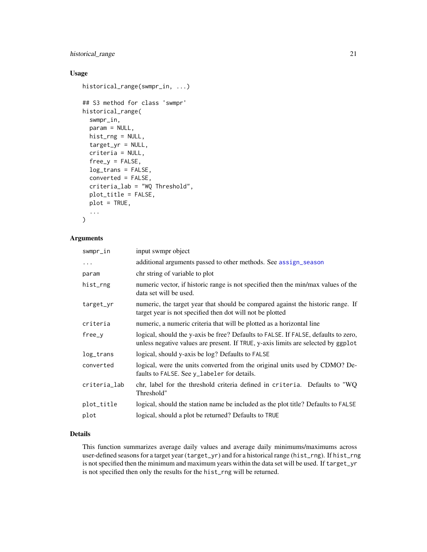# <span id="page-20-0"></span>historical\_range 21

# Usage

```
historical_range(swmpr_in, ...)
## S3 method for class 'swmpr'
historical_range(
  swmpr_in,
 param = NULL,
  hist_rng = NULL,
  target_yr = NULL,
  criteria = NULL,
  free_y = FALSE,
  log_trans = FALSE,
  converted = FALSE,
  criteria_lab = "WQ Threshold",
  plot_title = FALSE,
 plot = TRUE,
  ...
\mathcal{L}
```
# Arguments

| swmpr_in     | input swmpr object                                                                                                                                                      |
|--------------|-------------------------------------------------------------------------------------------------------------------------------------------------------------------------|
| $\cdots$     | additional arguments passed to other methods. See assign_season                                                                                                         |
| param        | chr string of variable to plot                                                                                                                                          |
| hist_rng     | numeric vector, if historic range is not specified then the min/max values of the<br>data set will be used.                                                             |
| target_yr    | numeric, the target year that should be compared against the historic range. If<br>target year is not specified then dot will not be plotted                            |
| criteria     | numeric, a numeric criteria that will be plotted as a horizontal line                                                                                                   |
| free_v       | logical, should the y-axis be free? Defaults to FALSE. If FALSE, defaults to zero,<br>unless negative values are present. If TRUE, y-axis limits are selected by ggplot |
| log_trans    | logical, should y-axis be log? Defaults to FALSE                                                                                                                        |
| converted    | logical, were the units converted from the original units used by CDMO? De-<br>faults to FALSE. See y_labeler for details.                                              |
| criteria_lab | chr, label for the threshold criteria defined in criteria. Defaults to "WQ<br>Threshold"                                                                                |
| plot_title   | logical, should the station name be included as the plot title? Defaults to FALSE                                                                                       |
| plot         | logical, should a plot be returned? Defaults to TRUE                                                                                                                    |

# Details

This function summarizes average daily values and average daily minimums/maximums across user-defined seasons for a target year (target\_yr) and for a historical range (hist\_rng). If hist\_rng is not specified then the minimum and maximum years within the data set will be used. If target\_yr is not specified then only the results for the hist\_rng will be returned.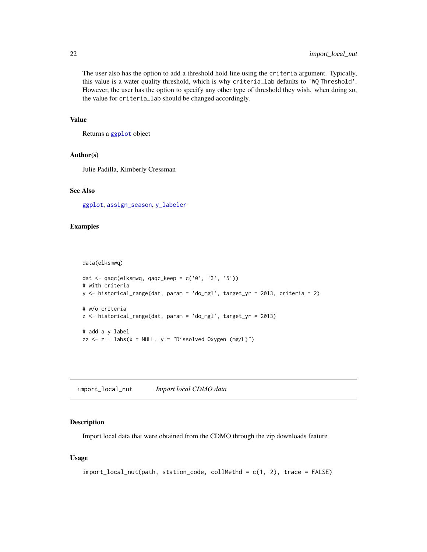<span id="page-21-0"></span>The user also has the option to add a threshold hold line using the criteria argument. Typically, this value is a water quality threshold, which is why criteria\_lab defaults to 'WQ Threshold'. However, the user has the option to specify any other type of threshold they wish. when doing so, the value for criteria\_lab should be changed accordingly.

#### Value

Returns a [ggplot](#page-0-0) object

#### Author(s)

Julie Padilla, Kimberly Cressman

#### See Also

[ggplot](#page-0-0), [assign\\_season](#page-4-1), [y\\_labeler](#page-62-1)

# Examples

data(elksmwq)

```
dat <- qaqc(elksmwq, qaqc_keep = c('0', '3', '5'))
# with criteria
y <- historical_range(dat, param = 'do_mgl', target_yr = 2013, criteria = 2)
# w/o criteria
z <- historical_range(dat, param = 'do_mgl', target_yr = 2013)
# add a y label
zz \le z + labs(x = NULL, y = "Dissolved Oxygen (mg/L)")
```
import\_local\_nut *Import local CDMO data*

# Description

Import local data that were obtained from the CDMO through the zip downloads feature

### Usage

```
import_local_nut(path, station_code, collMethd = c(1, 2), trace = FALSE)
```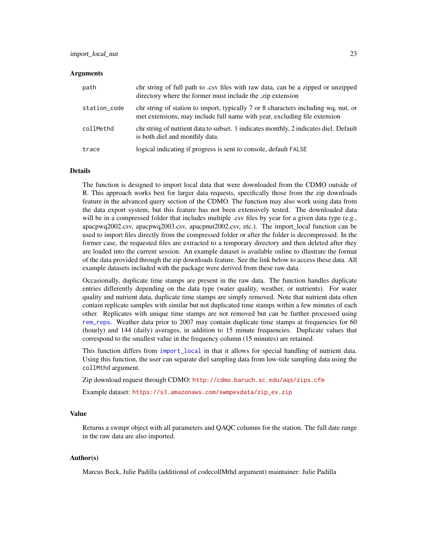# <span id="page-22-0"></span>Arguments

| path         | chr string of full path to .csv files with raw data, can be a zipped or unzipped<br>directory where the former must include the .zip extension                  |
|--------------|-----------------------------------------------------------------------------------------------------------------------------------------------------------------|
| station_code | chr string of station to import, typically 7 or 8 characters including wq, nut, or<br>met extensions, may include full name with year, excluding file extension |
| collMethd    | chr string of nutrient data to subset. 1 indicates monthly, 2 indicates diel. Default<br>is both diel and monthly data.                                         |
| trace        | logical indicating if progress is sent to console, default FALSE                                                                                                |

#### Details

The function is designed to import local data that were downloaded from the CDMO outside of R. This approach works best for larger data requests, specifically those from the zip downloads feature in the advanced query section of the CDMO. The function may also work using data from the data export system, but this feature has not been extensively tested. The downloaded data will be in a compressed folder that includes multiple .csv files by year for a given data type (e.g., apacpwq2002.csv, apacpwq2003.csv, apacpnut2002.csv, etc.). The import\_local function can be used to import files directly from the compressed folder or after the folder is decompressed. In the former case, the requested files are extracted to a temporary directory and then deleted after they are loaded into the current session. An example dataset is available online to illustrate the format of the data provided through the zip downloads feature. See the link below to access these data. All example datasets included with the package were derived from these raw data.

Occasionally, duplicate time stamps are present in the raw data. The function handles duplicate entries differently depending on the data type (water quality, weather, or nutrients). For water quality and nutrient data, duplicate time stamps are simply removed. Note that nutrient data often contain replicate samples with similar but not duplicated time stamps within a few minutes of each other. Replicates with unique time stamps are not removed but can be further processed using [rem\\_reps](#page-0-0). Weather data prior to 2007 may contain duplicate time stamps at frequencies for 60 (hourly) and 144 (daily) averages, in addition to 15 minute frequencies. Duplicate values that correspond to the smallest value in the frequency column (15 minutes) are retained.

This function differs from [import\\_local](#page-0-0) in that it allows for special handling of nutrient data. Using this function, the user can separate diel sampling data from low-tide sampling data using the collMthd argument.

Zip download request through CDMO: <http://cdmo.baruch.sc.edu/aqs/zips.cfm>

Example dataset: [https://s3.amazonaws.com/swmpexdata/zip\\_ex.zip](https://s3.amazonaws.com/swmpexdata/zip_ex.zip)

#### Value

Returns a swmpr object with all parameters and QAQC columns for the station. The full date range in the raw data are also imported.

#### Author(s)

Marcus Beck, Julie Padilla (additional of codecollMthd argument) maintainer: Julie Padilla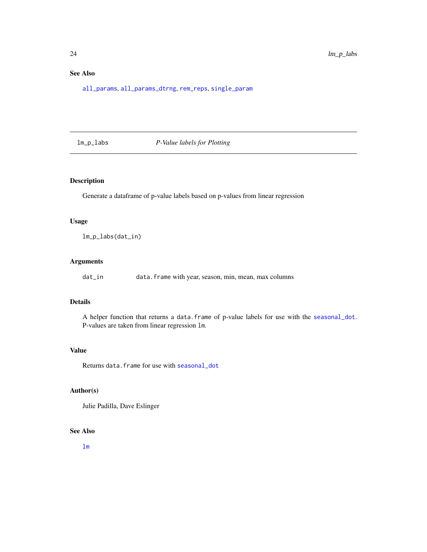# <span id="page-23-0"></span>See Also

[all\\_params](#page-0-0), [all\\_params\\_dtrng](#page-0-0), [rem\\_reps](#page-0-0), [single\\_param](#page-0-0)

lm\_p\_labs *P-Value labels for Plotting*

# Description

Generate a dataframe of p-value labels based on p-values from linear regression

#### Usage

lm\_p\_labs(dat\_in)

# Arguments

dat\_in data.frame with year, season, min, mean, max columns

#### Details

A helper function that returns a data.frame of p-value labels for use with the [seasonal\\_dot](#page-42-1). P-values are taken from linear regression lm.

# Value

Returns data.frame for use with [seasonal\\_dot](#page-42-1)

# Author(s)

Julie Padilla, Dave Eslinger

#### See Also

[lm](#page-0-0)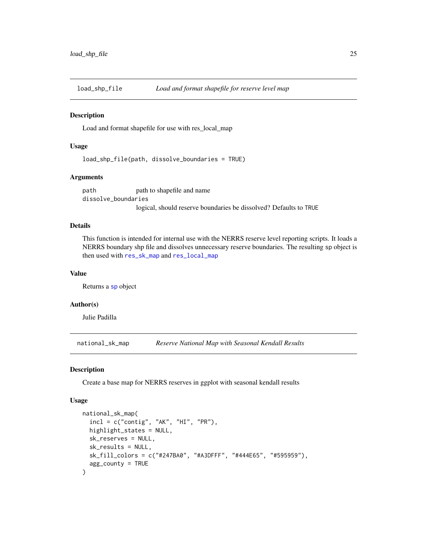<span id="page-24-0"></span>

#### Description

Load and format shapefile for use with res\_local\_map

#### Usage

load\_shp\_file(path, dissolve\_boundaries = TRUE)

#### Arguments

path path to shapefile and name dissolve\_boundaries logical, should reserve boundaries be dissolved? Defaults to TRUE

### Details

This function is intended for internal use with the NERRS reserve level reporting scripts. It loads a NERRS boundary shp file and dissolves unnecessary reserve boundaries. The resulting sp object is then used with [res\\_sk\\_map](#page-35-1) and [res\\_local\\_map](#page-32-1)

#### Value

Returns a [sp](#page-0-0) object

#### Author(s)

Julie Padilla

national\_sk\_map *Reserve National Map with Seasonal Kendall Results*

#### Description

Create a base map for NERRS reserves in ggplot with seasonal kendall results

#### Usage

```
national_sk_map(
  incl = c("contig", "AK", "HI", "PR"),highlight_states = NULL,
 sk_reserves = NULL,
 sk_results = NULL,
 sk_fill_colors = c("#247BA0", "#A3DFFF", "#444E65", "#595959"),
  agg_county = TRUE
)
```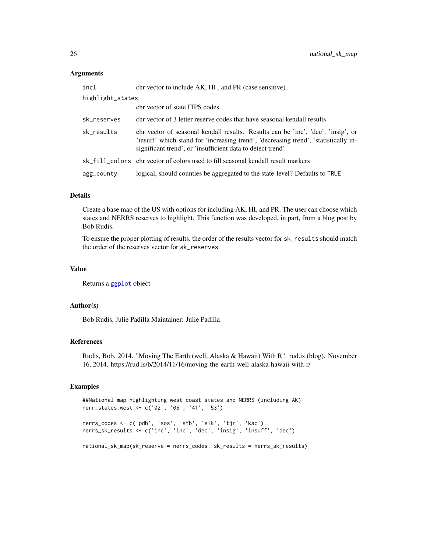#### <span id="page-25-0"></span>Arguments

| incl             | chr vector to include AK, HI, and PR (case sensitive)                                                                                                                                                                                 |  |
|------------------|---------------------------------------------------------------------------------------------------------------------------------------------------------------------------------------------------------------------------------------|--|
| highlight_states |                                                                                                                                                                                                                                       |  |
|                  | chr vector of state FIPS codes                                                                                                                                                                                                        |  |
| sk_reserves      | chr vector of 3 letter reserve codes that have seasonal kendall results                                                                                                                                                               |  |
| sk_results       | chr vector of seasonal kendall results. Results can be 'inc', 'dec', 'insig', or<br>'insuff' which stand for 'increasing trend', 'decreasing trend', 'statistically in-<br>significant trend', or 'insufficient data to detect trend' |  |
|                  | sk_fill_colors chr vector of colors used to fill seasonal kendall result markers                                                                                                                                                      |  |
| agg_county       | logical, should counties be aggregated to the state-level? Defaults to TRUE                                                                                                                                                           |  |
|                  |                                                                                                                                                                                                                                       |  |

# Details

Create a base map of the US with options for including AK, HI, and PR. The user can choose which states and NERRS reserves to highlight. This function was developed, in part, from a blog post by Bob Rudis.

To ensure the proper plotting of results, the order of the results vector for sk\_results should match the order of the reserves vector for sk\_reserves.

# Value

Returns a [ggplot](#page-0-0) object

#### Author(s)

Bob Rudis, Julie Padilla Maintainer: Julie Padilla

# References

Rudis, Bob. 2014. "Moving The Earth (well, Alaska & Hawaii) With R". rud.is (blog). November 16, 2014. https://rud.is/b/2014/11/16/moving-the-earth-well-alaska-hawaii-with-r/

#### Examples

```
##National map highlighting west coast states and NERRS (including AK)
nerr_states_west <- c('02', '06', '41', '53')
```

```
nerrs_codes <- c('pdb', 'sos', 'sfb', 'elk', 'tjr', 'kac')
nerrs_sk_results <- c('inc', 'inc', 'dec', 'insig', 'insuff', 'dec')
```

```
national_sk_map(sk_reserve = nerrs_codes, sk_results = nerrs_sk_results)
```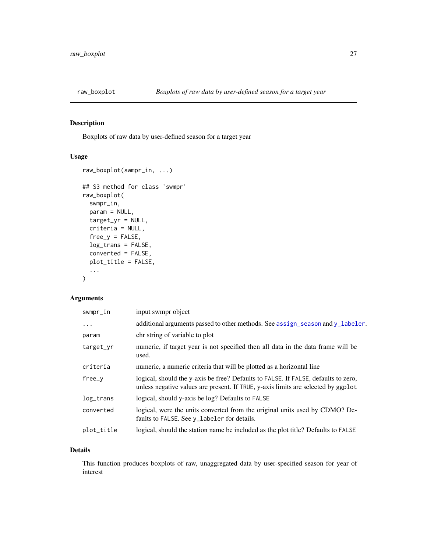<span id="page-26-0"></span>

# Description

Boxplots of raw data by user-defined season for a target year

# Usage

```
raw_boxplot(swmpr_in, ...)
## S3 method for class 'swmpr'
raw_boxplot(
 swmpr_in,
 param = NULL,
 target_yr = NULL,
 criteria = NULL,
 free_y = FALSE,
 log_trans = FALSE,
 converted = FALSE,
 plot_title = FALSE,
  ...
)
```
# Arguments

| input swmpr object                                                                                                                                                      |
|-------------------------------------------------------------------------------------------------------------------------------------------------------------------------|
| additional arguments passed to other methods. See assign_season and y_labeler.                                                                                          |
| chr string of variable to plot                                                                                                                                          |
| numeric, if target year is not specified then all data in the data frame will be<br>used.                                                                               |
| numeric, a numeric criteria that will be plotted as a horizontal line                                                                                                   |
| logical, should the y-axis be free? Defaults to FALSE. If FALSE, defaults to zero,<br>unless negative values are present. If TRUE, y-axis limits are selected by ggplot |
| logical, should y-axis be log? Defaults to FALSE                                                                                                                        |
| logical, were the units converted from the original units used by CDMO? De-<br>faults to FALSE. See y_labeler for details.                                              |
| logical, should the station name be included as the plot title? Defaults to FALSE                                                                                       |
|                                                                                                                                                                         |

### Details

This function produces boxplots of raw, unaggregated data by user-specified season for year of interest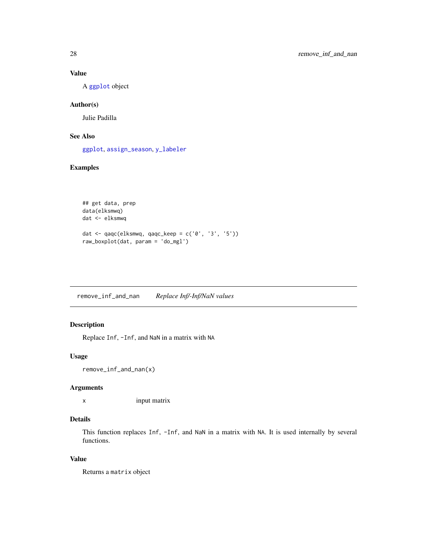# Value

A [ggplot](#page-0-0) object

# Author(s)

Julie Padilla

# See Also

[ggplot](#page-0-0), [assign\\_season](#page-4-1), [y\\_labeler](#page-62-1)

# Examples

```
## get data, prep
data(elksmwq)
dat <- elksmwq
dat <- qaqc(elksmwq, qaqc_keep = c('0', '3', '5'))
raw_boxplot(dat, param = 'do_mgl')
```
remove\_inf\_and\_nan *Replace Inf/-Inf/NaN values*

# Description

Replace Inf, -Inf, and NaN in a matrix with NA

# Usage

```
remove_inf_and_nan(x)
```
# Arguments

x input matrix

# Details

This function replaces Inf, -Inf, and NaN in a matrix with NA. It is used internally by several functions.

# Value

Returns a matrix object

<span id="page-27-0"></span>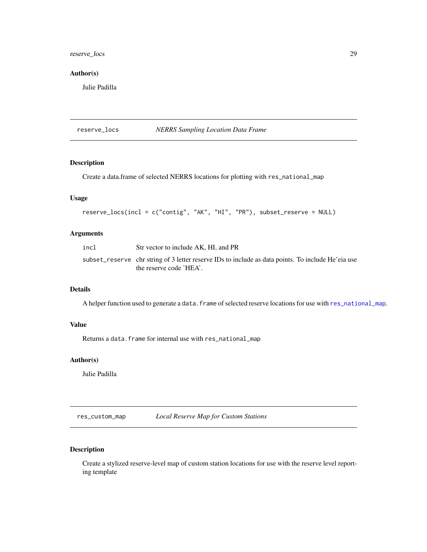# <span id="page-28-0"></span>reserve\_locs 29

# Author(s)

Julie Padilla

reserve\_locs *NERRS Sampling Location Data Frame*

# Description

Create a data.frame of selected NERRS locations for plotting with res\_national\_map

# Usage

```
reserve_locs(incl = c("contig", "AK", "HI", "PR"), subset_reserve = NULL)
```
# Arguments

| incl | Str vector to include AK, HI, and PR                                                                                          |
|------|-------------------------------------------------------------------------------------------------------------------------------|
|      | subset_reserve chr string of 3 letter reserve IDs to include as data points. To include He'eia use<br>the reserve code 'HEA'. |

# Details

A helper function used to generate a data. frame of selected reserve locations for use with [res\\_national\\_map](#page-33-1).

# Value

Returns a data.frame for internal use with res\_national\_map

#### Author(s)

Julie Padilla

res\_custom\_map *Local Reserve Map for Custom Stations*

# Description

Create a stylized reserve-level map of custom station locations for use with the reserve level reporting template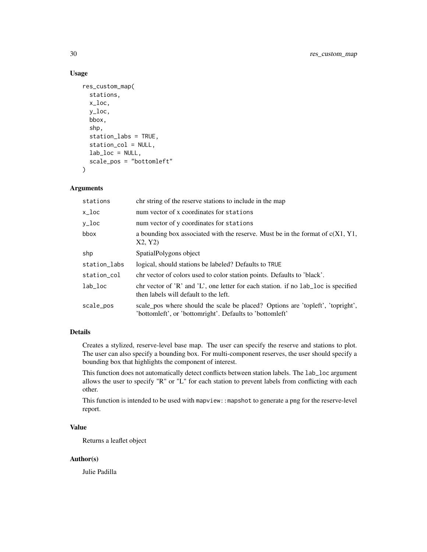# Usage

```
res_custom_map(
  stations,
  x_loc,
 y_loc,
 bbox,
  shp,
  station_labs = TRUE,
  station_col = NULL,
  lab\_loc = NULL,scale_pos = "bottomleft"
)
```
# Arguments

| stations     | chr string of the reserve stations to include in the map                                                                                   |
|--------------|--------------------------------------------------------------------------------------------------------------------------------------------|
| x_loc        | num vector of x coordinates for stations                                                                                                   |
| y_loc        | num vector of y coordinates for stations                                                                                                   |
| bbox         | a bounding box associated with the reserve. Must be in the format of $c(X1, Y1, Y2)$<br>X2, Y2)                                            |
| shp          | SpatialPolygons object                                                                                                                     |
| station_labs | logical, should stations be labeled? Defaults to TRUE                                                                                      |
| station_col  | chr vector of colors used to color station points. Defaults to 'black'.                                                                    |
| $lab\_loc$   | chr vector of 'R' and 'L', one letter for each station. if no $1ab\$ loc is specified<br>then labels will default to the left.             |
| scale_pos    | scale_pos where should the scale be placed? Options are 'topleft', 'topright',<br>'bottomleft', or 'bottomright'. Defaults to 'bottomleft' |

# Details

Creates a stylized, reserve-level base map. The user can specify the reserve and stations to plot. The user can also specify a bounding box. For multi-component reserves, the user should specify a bounding box that highlights the component of interest.

This function does not automatically detect conflicts between station labels. The lab\_loc argument allows the user to specify "R" or "L" for each station to prevent labels from conflicting with each other.

This function is intended to be used with mapview::mapshot to generate a png for the reserve-level report.

# Value

Returns a leaflet object

# Author(s)

Julie Padilla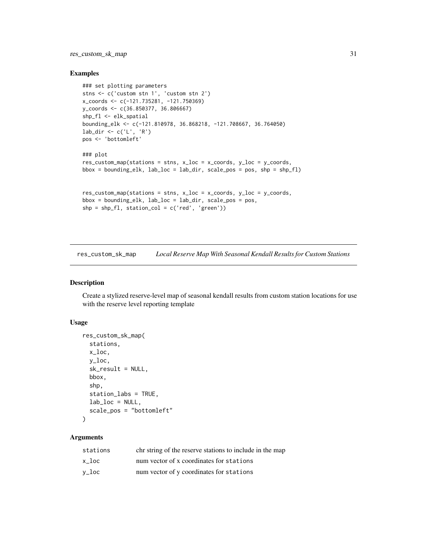# <span id="page-30-0"></span>res\_custom\_sk\_map 31

#### Examples

```
### set plotting parameters
stns <- c('custom stn 1', 'custom stn 2')
x_coords <- c(-121.735281, -121.750369)
y_coords <- c(36.850377, 36.806667)
shp_fl <- elk_spatial
bounding_elk <- c(-121.810978, 36.868218, -121.708667, 36.764050)
lab_dir <- c('L', 'R')
pos <- 'bottomleft'
### plot
res_custom_map(stations = strs, x\_loc = x_ccoords, y\_loc = y_ccoords,bbox = boundary bounding_elk, lab_loc = lab_dir, scale_pos = pos, shp = shp_fl)
res_custom_map(stations = stns, x_loc = x_coords, y_loc = y_coords,
bbox = bounding\_elk, lab\_loc = lab\_dir, scale\_pos = pos,
shp = shp_f1, station_col = c('red', 'green'))
```
res\_custom\_sk\_map *Local Reserve Map With Seasonal Kendall Results for Custom Stations*

#### Description

Create a stylized reserve-level map of seasonal kendall results from custom station locations for use with the reserve level reporting template

#### Usage

```
res_custom_sk_map(
  stations,
 x_loc,
 y_loc,
  sk_result = NULL,
 bbox,
  shp,
  station_labs = TRUE,
  lab\_loc = NULL,scale_pos = "bottomleft"
\lambda
```
# Arguments

| stations | chr string of the reserve stations to include in the map |
|----------|----------------------------------------------------------|
| x loc    | num vector of x coordinates for stations                 |
| v_loc    | num vector of y coordinates for stations                 |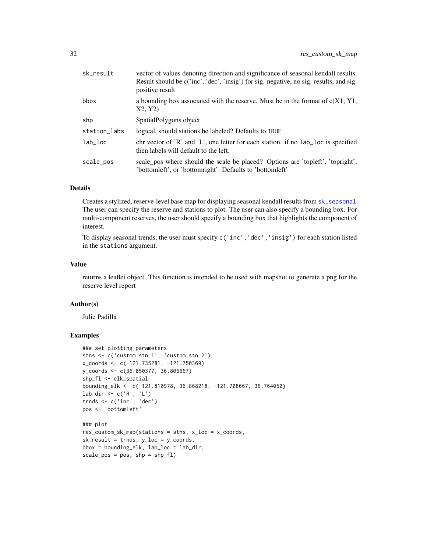<span id="page-31-0"></span>

| sk_result    | vector of values denoting direction and significance of seasonal kendall results.<br>Result should be c('inc', 'dec', 'insig') for sig. negative, no sig. results, and sig.<br>positive result |
|--------------|------------------------------------------------------------------------------------------------------------------------------------------------------------------------------------------------|
| bbox         | a bounding box associated with the reserve. Must be in the format of $c(X1, Y1, Y2)$<br>X2, Y2)                                                                                                |
| shp          | SpatialPolygons object                                                                                                                                                                         |
| station_labs | logical, should stations be labeled? Defaults to TRUE                                                                                                                                          |
| lab loc      | chr vector of $\chi$ <sup>2</sup> and $\chi$ <sup>2</sup> . One letter for each station. if no lab <sub>r</sub> loc is specified<br>then labels will default to the left.                      |
| scale_pos    | scale pos where should the scale be placed? Options are 'topleft', 'topright',<br>'bottomleft', or 'bottomright'. Defaults to 'bottomleft'                                                     |

# Details

Creates a stylized, reserve-level base map for displaying seasonal kendall results from [sk\\_seasonal](#page-45-1). The user can specify the reserve and stations to plot. The user can also specify a bounding box. For multi-component reserves, the user should specify a bounding box that highlights the component of interest.

To display seasonal trends, the user must specify c('inc','dec','insig') for each station listed in the stations argument.

# Value

returns a leaflet object. This function is intended to be used with mapshot to generate a png for the reserve level report

#### Author(s)

Julie Padilla

#### Examples

```
### set plotting parameters
stns <- c('custom stn 1', 'custom stn 2')
x_coords <- c(-121.735281, -121.750369)
y_coords <- c(36.850377, 36.806667)
shp_fl <- elk_spatial
bounding_elk <- c(-121.810978, 36.868218, -121.708667, 36.764050)
lab_dir <- c('R', 'L')
trnds <- c('inc', 'dec')
pos <- 'bottomleft'
### plot
```

```
res_custom_sk_map(stations = stns, x_loc = x_coords,
sk_r result = trnds, y_loc = y_coords,bbox = boundary = bounding_elk, lab_loc = lab_dir,
scale_pos = pos, shp = shp_f1
```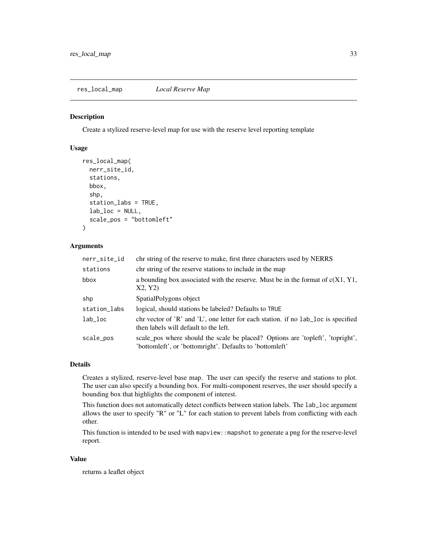<span id="page-32-1"></span><span id="page-32-0"></span>res\_local\_map *Local Reserve Map*

#### Description

Create a stylized reserve-level map for use with the reserve level reporting template

# Usage

```
res_local_map(
  nerr_site_id,
  stations,
 bbox,
  shp,
  station_labs = TRUE,
  lab\_loc = NULL,scale_pos = "bottomleft"
)
```
### Arguments

| nerr_site_id | chr string of the reserve to make, first three characters used by NERRS                                                                                                   |
|--------------|---------------------------------------------------------------------------------------------------------------------------------------------------------------------------|
| stations     | chr string of the reserve stations to include in the map                                                                                                                  |
| bbox         | a bounding box associated with the reserve. Must be in the format of $c(X1, Y1)$ ,<br>X2, Y2)                                                                             |
| shp          | SpatialPolygons object                                                                                                                                                    |
| station_labs | logical, should stations be labeled? Defaults to TRUE                                                                                                                     |
| $lab\_loc$   | chr vector of $\chi$ <sup>2</sup> and $\chi$ <sup>2</sup> . One letter for each station. if no lab <sub>r</sub> loc is specified<br>then labels will default to the left. |
| scale_pos    | scale pos where should the scale be placed? Options are 'topleft', 'topright',<br>'bottomleft', or 'bottomright'. Defaults to 'bottomleft'                                |

#### Details

Creates a stylized, reserve-level base map. The user can specify the reserve and stations to plot. The user can also specify a bounding box. For multi-component reserves, the user should specify a bounding box that highlights the component of interest.

This function does not automatically detect conflicts between station labels. The lab\_loc argument allows the user to specify "R" or "L" for each station to prevent labels from conflicting with each other.

This function is intended to be used with mapview::mapshot to generate a png for the reserve-level report.

# Value

returns a leaflet object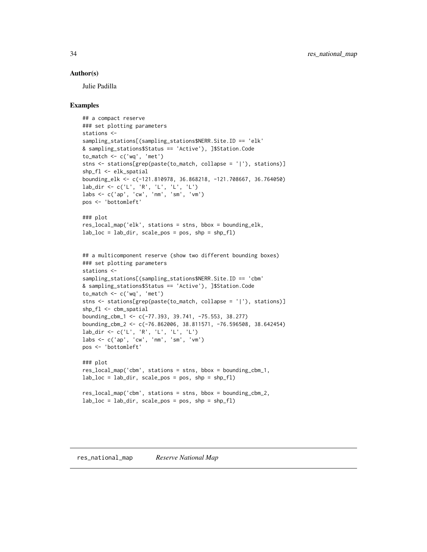#### <span id="page-33-0"></span>Author(s)

Julie Padilla

#### Examples

```
## a compact reserve
### set plotting parameters
stations <-
sampling_stations[(sampling_stations$NERR.Site.ID == 'elk'
& sampling_stations$Status == 'Active'), ]$Station.Code
to_match \leq c('wq', 'met')
stns <- stations[grep(paste(to_match, collapse = '|'), stations)]
shp_fl <- elk_spatial
bounding_elk <- c(-121.810978, 36.868218, -121.708667, 36.764050)
lab_dir <- c('L', 'R', 'L', 'L', 'L')
labs <- c('ap', 'cw', 'nm', 'sm', 'vm')
pos <- 'bottomleft'
### plot
res_local_map('elk', stations = stns, bbox = bounding_elk,
lab\_loc = lab\_dir, scale\_pos = pos, shp = shp_f1## a multicomponent reserve (show two different bounding boxes)
### set plotting parameters
stations <-
sampling_stations[(sampling_stations$NERR.Site.ID == 'cbm'
& sampling_stations$Status == 'Active'), ]$Station.Code
to_match < -c('wq', 'met')stns <- stations[grep(paste(to_match, collapse = '|'), stations)]
shp_fl <- cbm_spatial
bounding_cbm_1 <- c(-77.393, 39.741, -75.553, 38.277)
bounding_cbm_2 <- c(-76.862006, 38.811571, -76.596508, 38.642454)
lab_dir <- c('L', 'R', 'L', 'L', 'L')
labs <- c('ap', 'cw', 'nm', 'sm', 'vm')
pos <- 'bottomleft'
### plot
res_local_map('cbm', stations = stns, bbox = bounding_cbm_1,
lab_loc = lab_dir, scale_pos = pos, shp = shp_fl)
res_local_map('cbm', stations = stns, bbox = bounding_cbm_2,
lab\_loc = lab\_dir, scale\_pos = pos, shp = shp_f1
```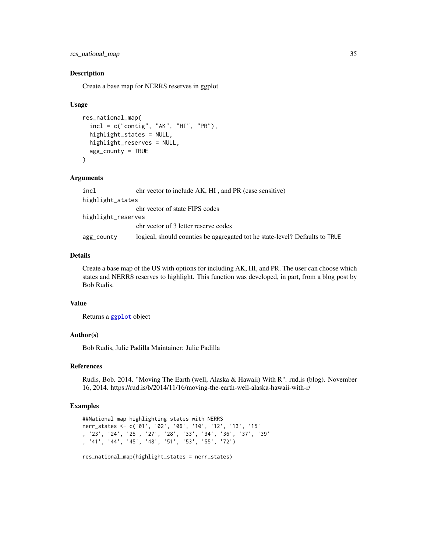<span id="page-34-0"></span>res\_national\_map 35

#### Description

Create a base map for NERRS reserves in ggplot

#### Usage

```
res_national_map(
  incl = c("contig", "AK", "HI", "PR"),highlight_states = NULL,
 highlight_reserves = NULL,
  agg_county = TRUE
)
```
#### **Arguments**

| incl               | chr vector to include AK, HI, and PR (case sensitive)                       |
|--------------------|-----------------------------------------------------------------------------|
| highlight_states   |                                                                             |
|                    | chr vector of state FIPS codes                                              |
| highlight_reserves |                                                                             |
|                    | chr vector of 3 letter reserve codes                                        |
| agg_county         | logical, should counties be aggregated tot he state-level? Defaults to TRUE |

#### Details

Create a base map of the US with options for including AK, HI, and PR. The user can choose which states and NERRS reserves to highlight. This function was developed, in part, from a blog post by Bob Rudis.

#### Value

Returns a [ggplot](#page-0-0) object

#### Author(s)

Bob Rudis, Julie Padilla Maintainer: Julie Padilla

#### References

Rudis, Bob. 2014. "Moving The Earth (well, Alaska & Hawaii) With R". rud.is (blog). November 16, 2014. https://rud.is/b/2014/11/16/moving-the-earth-well-alaska-hawaii-with-r/

#### Examples

```
##National map highlighting states with NERRS
nerr_states <- c('01', '02', '06', '10', '12', '13', '15'
, '23', '24', '25', '27', '28', '33', '34', '36', '37', '39'
, '41', '44', '45', '48', '51', '53', '55', '72')
res_national_map(highlight_states = nerr_states)
```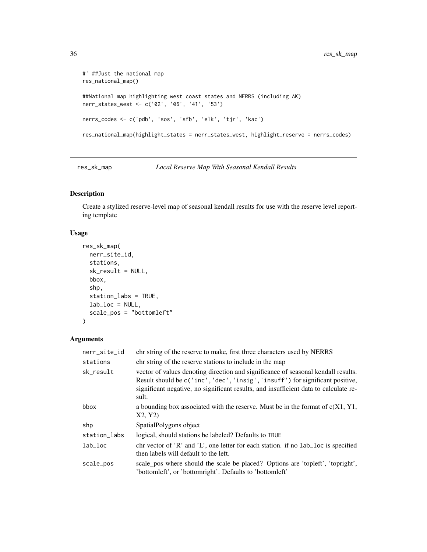```
#' ##Just the national map
res_national_map()
##National map highlighting west coast states and NERRS (including AK)
nerr_states_west <- c('02', '06', '41', '53')
nerrs_codes <- c('pdb', 'sos', 'sfb', 'elk', 'tjr', 'kac')
res_national_map(highlight_states = nerr_states_west, highlight_reserve = nerrs_codes)
```
<span id="page-35-1"></span>res\_sk\_map *Local Reserve Map With Seasonal Kendall Results*

# Description

Create a stylized reserve-level map of seasonal kendall results for use with the reserve level reporting template

#### Usage

```
res_sk_map(
 nerr_site_id,
  stations,
  sk_result = NULL,
  bbox,
  shp,
  station_labs = TRUE,
 lab\_loc = NULL,scale_pos = "bottomleft"
)
```
# Arguments

| nerr_site_id | chr string of the reserve to make, first three characters used by NERRS                                                                                                                                                                                             |
|--------------|---------------------------------------------------------------------------------------------------------------------------------------------------------------------------------------------------------------------------------------------------------------------|
| stations     | chr string of the reserve stations to include in the map                                                                                                                                                                                                            |
| sk_result    | vector of values denoting direction and significance of seasonal kendall results.<br>Result should be c('inc', 'dec', 'insig', 'insuff') for significant positive,<br>significant negative, no significant results, and insufficient data to calculate re-<br>sult. |
| bbox         | a bounding box associated with the reserve. Must be in the format of $c(X1, Y1)$ ,<br>X2, Y2)                                                                                                                                                                       |
| shp          | SpatialPolygons object                                                                                                                                                                                                                                              |
| station_labs | logical, should stations be labeled? Defaults to TRUE                                                                                                                                                                                                               |
| $lab\_loc$   | chr vector of 'R' and 'L', one letter for each station. if no $lab\_loc$ is specified<br>then labels will default to the left.                                                                                                                                      |
| scale_pos    | scale pos where should the scale be placed? Options are 'topleft', 'topright',<br>'bottomleft', or 'bottomright'. Defaults to 'bottomleft'                                                                                                                          |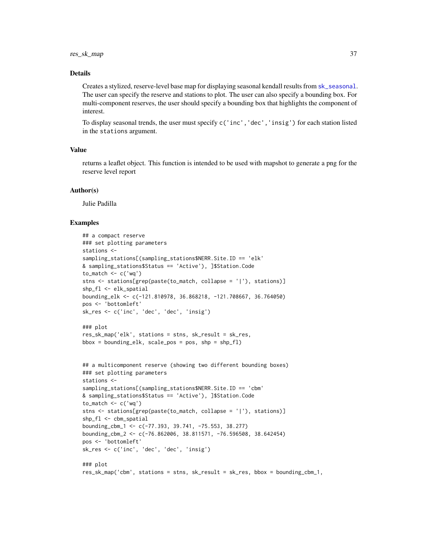#### <span id="page-36-0"></span>Details

Creates a stylized, reserve-level base map for displaying seasonal kendall results from [sk\\_seasonal](#page-45-1). The user can specify the reserve and stations to plot. The user can also specify a bounding box. For multi-component reserves, the user should specify a bounding box that highlights the component of interest.

To display seasonal trends, the user must specify c('inc','dec','insig') for each station listed in the stations argument.

# Value

returns a leaflet object. This function is intended to be used with mapshot to generate a png for the reserve level report

#### Author(s)

Julie Padilla

#### Examples

```
## a compact reserve
### set plotting parameters
stations <-
sampling_stations[(sampling_stations$NERR.Site.ID == 'elk'
& sampling_stations$Status == 'Active'), ]$Station.Code
to_match \leftarrow c('wq')stns <- stations[grep(paste(to_match, collapse = '|'), stations)]
shp_fl <- elk_spatial
bounding_elk <- c(-121.810978, 36.868218, -121.708667, 36.764050)
pos <- 'bottomleft'
sk_res <- c('inc', 'dec', 'dec', 'insig')
### plot
res_sk_map('elk', stations = stns, sk_result = sk_res,
bbox = boundary = bounding_elk, scale_pos = pos, shp = shp_fl)
## a multicomponent reserve (showing two different bounding boxes)
### set plotting parameters
stations <-
sampling_stations[(sampling_stations$NERR.Site.ID == 'cbm'
& sampling_stations$Status == 'Active'), ]$Station.Code
to_match < -c('wq')stns <- stations[grep(paste(to_match, collapse = '|'), stations)]
shp_fl <- cbm_spatial
bounding_cbm_1 <- c(-77.393, 39.741, -75.553, 38.277)
bounding_cbm_2 <- c(-76.862006, 38.811571, -76.596508, 38.642454)
pos <- 'bottomleft'
sk_res <- c('inc', 'dec', 'dec', 'insig')
### plot
res_sk_map('cbm', stations = stns, sk_result = sk_res, bbox = bounding_cbm_1,
```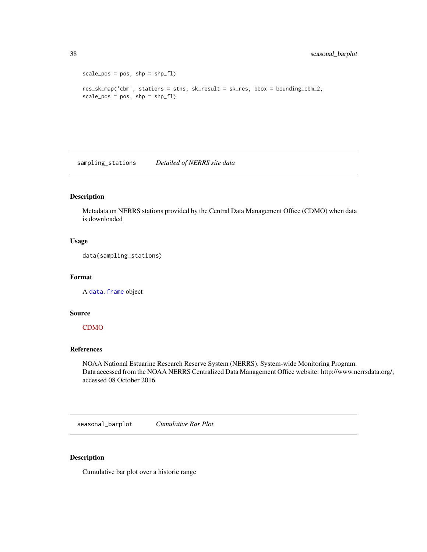```
scale_pos = pos, shp = shp_f1res_sk_map('cbm', stations = stns, sk_result = sk_res, bbox = bounding_cbm_2,
scale_pos = pos, shp = shp_f1
```
sampling\_stations *Detailed of NERRS site data*

# Description

Metadata on NERRS stations provided by the Central Data Management Office (CDMO) when data is downloaded

# Usage

data(sampling\_stations)

#### Format

A [data.frame](#page-0-0) object

# Source

#### [CDMO](http://cdmo.baruch.sc.edu/)

# References

NOAA National Estuarine Research Reserve System (NERRS). System-wide Monitoring Program. Data accessed from the NOAA NERRS Centralized Data Management Office website: http://www.nerrsdata.org/; accessed 08 October 2016

seasonal\_barplot *Cumulative Bar Plot*

#### Description

Cumulative bar plot over a historic range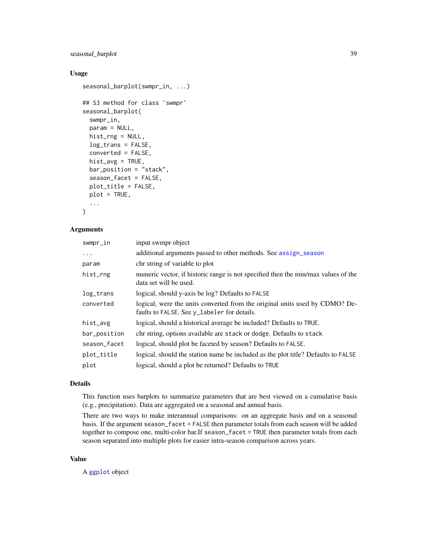# <span id="page-38-0"></span>seasonal\_barplot 39

# Usage

```
seasonal_barplot(swmpr_in, ...)
## S3 method for class 'swmpr'
seasonal_barplot(
  swmpr_in,
 param = NULL,
 hist_rng = NULL,
  log_trans = FALSE,
  converted = FALSE,
 hist_avg = TRUE,
 bar_position = "stack",
  season_facet = FALSE,
 plot_title = FALSE,
 plot = TRUE,
  ...
\mathcal{L}
```
# Arguments

| swmpr_in     | input swmpr object                                                                                                         |
|--------------|----------------------------------------------------------------------------------------------------------------------------|
| .            | additional arguments passed to other methods. See assign_season                                                            |
| param        | chr string of variable to plot                                                                                             |
| hist_rng     | numeric vector, if historic range is not specified then the min/max values of the<br>data set will be used.                |
| log_trans    | logical, should y-axis be log? Defaults to FALSE                                                                           |
| converted    | logical, were the units converted from the original units used by CDMO? De-<br>faults to FALSE. See y_labeler for details. |
| hist_avg     | logical, should a historical average be included? Defaults to TRUE.                                                        |
| bar_position | chr string, options available are stack or dodge. Defaults to stack                                                        |
| season_facet | logical, should plot be faceted by season? Defaults to FALSE.                                                              |
| plot_title   | logical, should the station name be included as the plot title? Defaults to FALSE                                          |
| plot         | logical, should a plot be returned? Defaults to TRUE                                                                       |

# Details

This function uses barplots to summarize parameters that are best viewed on a cumulative basis (e.g., precipitation). Data are aggregated on a seasonal and annual basis.

There are two ways to make interannual comparisons: on an aggregate basis and on a seasonal basis. If the argument season\_facet = FALSE then parameter totals from each season will be added together to compose one, multi-color bar.If season\_facet = TRUE then parameter totals from each season separated into multiple plots for easier intra-season comparison across years.

# Value

A [ggplot](#page-0-0) object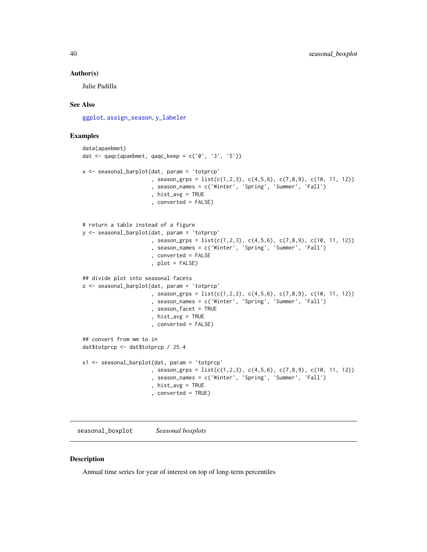#### <span id="page-39-0"></span>Author(s)

Julie Padilla

#### See Also

[ggplot](#page-0-0), [assign\\_season](#page-4-1), [y\\_labeler](#page-62-1)

# Examples

```
data(apaebmet)
dat \leq qaqc(apaebmet, qaqc_keep = c('0', '3', '5'))
x <- seasonal_barplot(dat, param = 'totprcp'
                      , season_grps = list(c(1,2,3), c(4,5,6), c(7,8,9), c(10, 11, 12))
                      , season_names = c('Winter', 'Spring', 'Summer', 'Fall')
                      , hist_avg = TRUE
                      , converted = FALSE)
# return a table instead of a figure
y <- seasonal_barplot(dat, param = 'totprcp'
                      , season_grps = list(c(1,2,3), c(4,5,6), c(7,8,9), c(10, 11, 12))
                      , season_names = c('Winter', 'Spring', 'Summer', 'Fall')
                      , converted = FALSE
                      , plot = FALSE)
## divide plot into seasonal facets
z <- seasonal_barplot(dat, param = 'totprcp'
                      , season_grps = list(c(1,2,3), c(4,5,6), c(7,8,9), c(10, 11, 12))
                      , season_names = c('Winter', 'Spring', 'Summer', 'Fall')
                      , season_facet = TRUE
                      , hist_avg = TRUE
                      , converted = FALSE)
## convert from mm to in
dat$totprcp <- dat$totprcp / 25.4
x1 <- seasonal_barplot(dat, param = 'totprcp'
                      , season_grps = list(c(1,2,3), c(4,5,6), c(7,8,9), c(10, 11, 12))
                      , season_names = c('Winter', 'Spring', 'Summer', 'Fall')
                      , hist_avg = TRUE
                      , converted = TRUE)
```
seasonal\_boxplot *Seasonal boxplots*

# Description

Annual time series for year of interest on top of long-term percentiles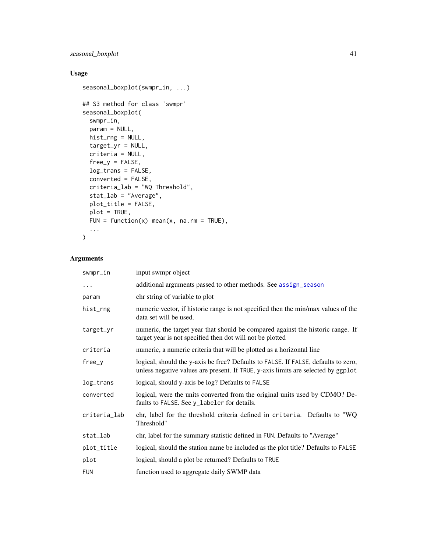# seasonal\_boxplot 41

# Usage

```
seasonal_boxplot(swmpr_in, ...)
## S3 method for class 'swmpr'
seasonal_boxplot(
  swmpr_in,
 param = NULL,
 hist_rng = NULL,
 target_yr = NULL,
 criteria = NULL,
 free_y = FALSE,log_trans = FALSE,
 converted = FALSE,
 criteria_lab = "WQ Threshold",
  stat_lab = "Average",
 plot_title = FALSE,
 plot = TRUE,
 FUN = function(x) mean(x, na.rm = TRUE),
  ...
\mathcal{L}
```
# Arguments

| swmpr_in     | input swmpr object                                                                                                                                                      |
|--------------|-------------------------------------------------------------------------------------------------------------------------------------------------------------------------|
| $\cdots$     | additional arguments passed to other methods. See assign_season                                                                                                         |
| param        | chr string of variable to plot                                                                                                                                          |
| hist_rng     | numeric vector, if historic range is not specified then the min/max values of the<br>data set will be used.                                                             |
| target_yr    | numeric, the target year that should be compared against the historic range. If<br>target year is not specified then dot will not be plotted                            |
| criteria     | numeric, a numeric criteria that will be plotted as a horizontal line                                                                                                   |
| free_y       | logical, should the y-axis be free? Defaults to FALSE. If FALSE, defaults to zero,<br>unless negative values are present. If TRUE, y-axis limits are selected by ggplot |
| log_trans    | logical, should y-axis be log? Defaults to FALSE                                                                                                                        |
| converted    | logical, were the units converted from the original units used by CDMO? De-<br>faults to FALSE. See y_labeler for details.                                              |
| criteria_lab | chr, label for the threshold criteria defined in criteria. Defaults to "WQ<br>Threshold"                                                                                |
| stat_lab     | chr, label for the summary statistic defined in FUN. Defaults to "Average"                                                                                              |
| plot_title   | logical, should the station name be included as the plot title? Defaults to FALSE                                                                                       |
| plot         | logical, should a plot be returned? Defaults to TRUE                                                                                                                    |
| <b>FUN</b>   | function used to aggregate daily SWMP data                                                                                                                              |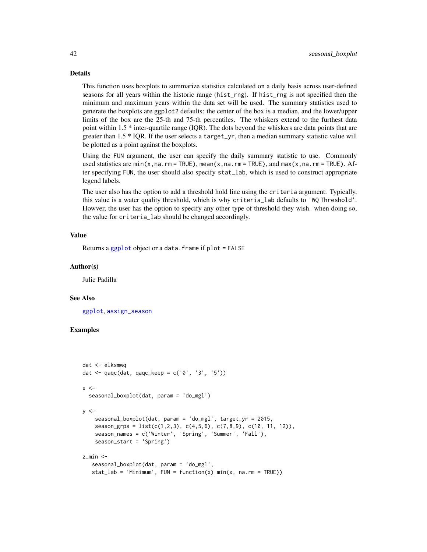#### <span id="page-41-0"></span>Details

This function uses boxplots to summarize statistics calculated on a daily basis across user-defined seasons for all years within the historic range (hist\_rng). If hist\_rng is not specified then the minimum and maximum years within the data set will be used. The summary statistics used to generate the boxplots are ggplot2 defaults: the center of the box is a median, and the lower/upper limits of the box are the 25-th and 75-th percentiles. The whiskers extend to the furthest data point within 1.5 \* inter-quartile range (IQR). The dots beyond the whiskers are data points that are greater than 1.5 \* IQR. If the user selects a target\_yr, then a median summary statistic value will be plotted as a point against the boxplots.

Using the FUN argument, the user can specify the daily summary statistic to use. Commonly used statistics are min(x,na.rm = TRUE), mean(x,na.rm = TRUE), and max(x,na.rm = TRUE). After specifying FUN, the user should also specify stat\_lab, which is used to construct appropriate legend labels.

The user also has the option to add a threshold hold line using the criteria argument. Typically, this value is a water quality threshold, which is why criteria\_lab defaults to 'WQ Threshold'. Howver, the user has the option to specify any other type of threshold they wish. when doing so, the value for criteria\_lab should be changed accordingly.

#### Value

Returns a [ggplot](#page-0-0) object or a data. frame if plot = FALSE

#### Author(s)

Julie Padilla

#### See Also

[ggplot](#page-0-0), [assign\\_season](#page-4-1)

#### Examples

```
dat <- elksmwq
dat <- qaqc(dat, qaqc_keep = c('0', '3', '5'))
x < -seasonal_boxplot(dat, param = 'do_mgl')
y < -seasonal_boxplot(dat, param = 'do_mgl', target_yr = 2015,
    season_grps = list(c(1,2,3), c(4,5,6), c(7,8,9), c(10, 11, 12)),
    season_names = c('Winter', 'Spring', 'Summer', 'Fall'),
    season_start = 'Spring')
z min \leq-
   seasonal_boxplot(dat, param = 'do_mgl',
   stat_lab = 'Minimum', FUN = function(x) min(x, na.rm = TRUE))
```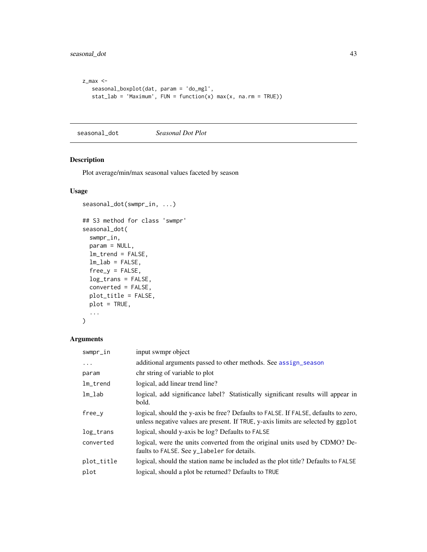```
z_max <-
  seasonal_boxplot(dat, param = 'do_mgl',
  stat_lab = 'Maximum', FUN = function(x) max(x, na.rm = TRUE))
```
<span id="page-42-1"></span>seasonal\_dot *Seasonal Dot Plot*

# Description

Plot average/min/max seasonal values faceted by season

# Usage

```
seasonal_dot(swmpr_in, ...)
## S3 method for class 'swmpr'
seasonal_dot(
  swmpr_in,
 param = NULL,
  lm_trend = FALSE,
  lm\_lab = FALSE,free_y = FALSE,log_trans = FALSE,
 converted = FALSE,
 plot_title = FALSE,
 plot = TRUE,
  ...
)
```
# Arguments

| swmpr_in    | input swmpr object                                                                                                                                                      |
|-------------|-------------------------------------------------------------------------------------------------------------------------------------------------------------------------|
| $\cdots$    | additional arguments passed to other methods. See assign_season                                                                                                         |
| param       | chr string of variable to plot                                                                                                                                          |
| $lm_t$ rend | logical, add linear trend line?                                                                                                                                         |
| $lm\_lab$   | logical, add significance label? Statistically significant results will appear in<br>bold.                                                                              |
| $free_y$    | logical, should the y-axis be free? Defaults to FALSE. If FALSE, defaults to zero,<br>unless negative values are present. If TRUE, y-axis limits are selected by ggplot |
| log_trans   | logical, should y-axis be log? Defaults to FALSE                                                                                                                        |
| converted   | logical, were the units converted from the original units used by CDMO? De-<br>faults to FALSE. See y_labeler for details.                                              |
| plot_title  | logical, should the station name be included as the plot title? Defaults to FALSE                                                                                       |
| plot        | logical, should a plot be returned? Defaults to TRUE                                                                                                                    |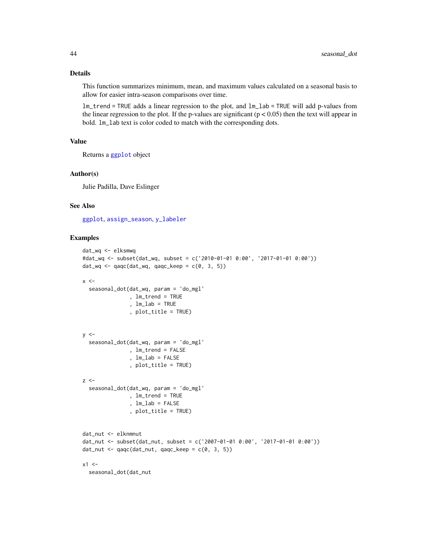# Details

This function summarizes minimum, mean, and maximum values calculated on a seasonal basis to allow for easier intra-season comparisons over time.

lm\_trend = TRUE adds a linear regression to the plot, and lm\_lab = TRUE will add p-values from the linear regression to the plot. If the p-values are significant  $(p < 0.05)$  then the text will appear in bold. lm\_lab text is color coded to match with the corresponding dots.

#### Value

Returns a [ggplot](#page-0-0) object

#### Author(s)

Julie Padilla, Dave Eslinger

#### See Also

[ggplot](#page-0-0), [assign\\_season](#page-4-1), [y\\_labeler](#page-62-1)

# Examples

```
dat_wq <- elksmwq
#dat_wq <- subset(dat_wq, subset = c('2010-01-01 0:00', '2017-01-01 0:00'))
dat_wq \leftarrow qaqc(data_wq, qaqc_keep = c(0, 3, 5))x < -seasonal_dot(dat_wq, param = 'do_mgl'
               , lm_trend = TRUE
               , lm_lab = TRUE
               , plot_title = TRUE)
y < -seasonal_dot(dat_wq, param = 'do_mgl'
               , lm_trend = FALSE
               , lm_lab = FALSE
               , plot_title = TRUE)
z <-
  seasonal_dot(dat_wq, param = 'do_mgl'
               , lm_trend = TRUE
               , lm_lab = FALSE
               , plot_title = TRUE)
dat_nut <- elknmnut
dat_nut <- subset(dat_nut, subset = c('2007-01-01 0:00', '2017-01-01 0:00'))
dat_nut <- qaqc(data_nut, qaqc_keep = c(0, 3, 5))x1 < -seasonal_dot(dat_nut
```
<span id="page-43-0"></span>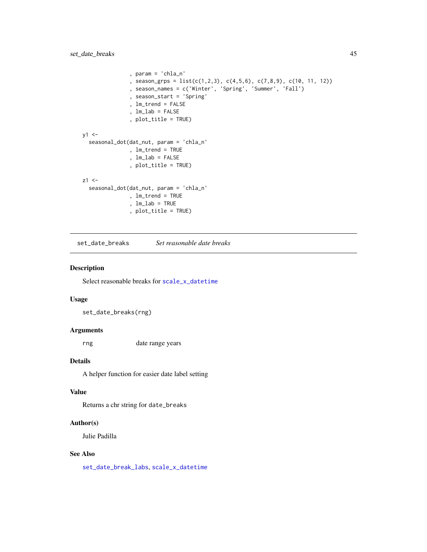```
, param = 'chla_n'
               , season_grps = list(c(1,2,3), c(4,5,6), c(7,8,9), c(10, 11, 12))
               , season_names = c('Winter', 'Spring', 'Summer', 'Fall')
               , season_start = 'Spring'
               , lm_trend = FALSE
               , lm_lab = FALSE
               , plot_title = TRUE)
y1 < -seasonal_dot(dat_nut, param = 'chla_n'
               , lm_trend = TRUE
               , lm_lab = FALSE
               , plot_title = TRUE)
z1 < -seasonal_dot(dat_nut, param = 'chla_n'
               , lm_trend = TRUE
               , lm_lab = TRUE
               , plot_title = TRUE)
```
<span id="page-44-1"></span>set\_date\_breaks *Set reasonable date breaks*

# Description

Select reasonable breaks for [scale\\_x\\_datetime](#page-0-0)

#### Usage

set\_date\_breaks(rng)

# Arguments

rng date range years

#### Details

A helper function for easier date label setting

#### Value

Returns a chr string for date\_breaks

#### Author(s)

Julie Padilla

# See Also

[set\\_date\\_break\\_labs](#page-45-2), [scale\\_x\\_datetime](#page-0-0)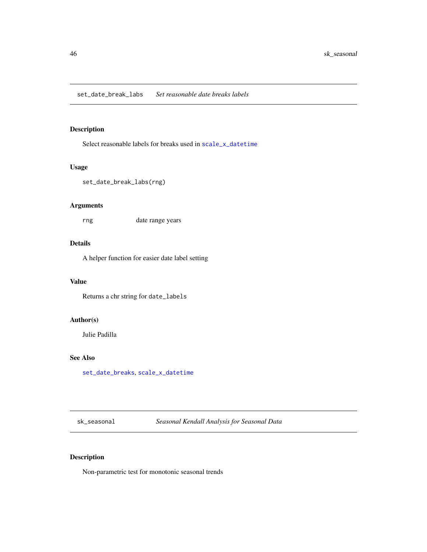# <span id="page-45-2"></span><span id="page-45-0"></span>Description

Select reasonable labels for breaks used in [scale\\_x\\_datetime](#page-0-0)

# Usage

set\_date\_break\_labs(rng)

# Arguments

rng date range years

# Details

A helper function for easier date label setting

# Value

Returns a chr string for date\_labels

# Author(s)

Julie Padilla

# See Also

[set\\_date\\_breaks](#page-44-1), [scale\\_x\\_datetime](#page-0-0)

<span id="page-45-1"></span>sk\_seasonal *Seasonal Kendall Analysis for Seasonal Data*

# Description

Non-parametric test for monotonic seasonal trends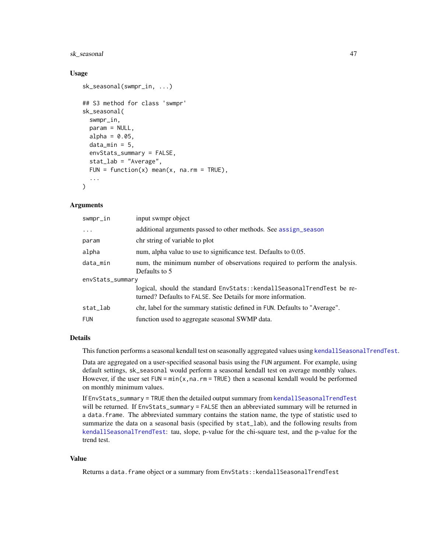# <span id="page-46-0"></span>sk\_seasonal 47

#### Usage

```
sk_seasonal(swmpr_in, ...)
## S3 method for class 'swmpr'
sk_seasonal(
  swmpr_in,
 param = NULL,
  alpha = 0.05,
  data\_min = 5,
  envStats_summary = FALSE,
  stat_lab = "Average",
 FUN = function(x) mean(x, na.rm = TRUE),
  ...
\mathcal{L}
```
#### Arguments

| swmpr_in         | input swmpr object                                                                                                                      |  |
|------------------|-----------------------------------------------------------------------------------------------------------------------------------------|--|
| .                | additional arguments passed to other methods. See assign_season                                                                         |  |
| param            | chr string of variable to plot                                                                                                          |  |
| alpha            | num, alpha value to use to significance test. Defaults to 0.05.                                                                         |  |
| data_min         | num, the minimum number of observations required to perform the analysis.<br>Defaults to 5                                              |  |
| envStats_summary |                                                                                                                                         |  |
|                  | logical, should the standard EnvStats:: kendallSeasonalTrendTest be re-<br>turned? Defaults to FALSE, See Details for more information. |  |
| stat_lab         | chr, label for the summary statistic defined in FUN. Defaults to "Average".                                                             |  |
| <b>FUN</b>       | function used to aggregate seasonal SWMP data.                                                                                          |  |

# Details

This function performs a seasonal kendall test on seasonally aggregated values using [kendallSeasonalTrendTest](#page-0-0).

Data are aggregated on a user-specified seasonal basis using the FUN argument. For example, using default settings, sk\_seasonal would perform a seasonal kendall test on average monthly values. However, if the user set  $FUN = min(x, na.rm = TRUE)$  then a seasonal kendall would be performed on monthly minimum values.

If EnvStats\_summary = TRUE then the detailed output summary from [kendallSeasonalTrendTest](#page-0-0) will be returned. If EnvStats\_summary = FALSE then an abbreviated summary will be returned in a data.frame. The abbreviated summary contains the station name, the type of statistic used to summarize the data on a seasonal basis (specified by stat\_lab), and the following results from [kendallSeasonalTrendTest](#page-0-0): tau, slope, p-value for the chi-square test, and the p-value for the trend test.

#### Value

Returns a data. frame object or a summary from EnvStats::kendallSeasonalTrendTest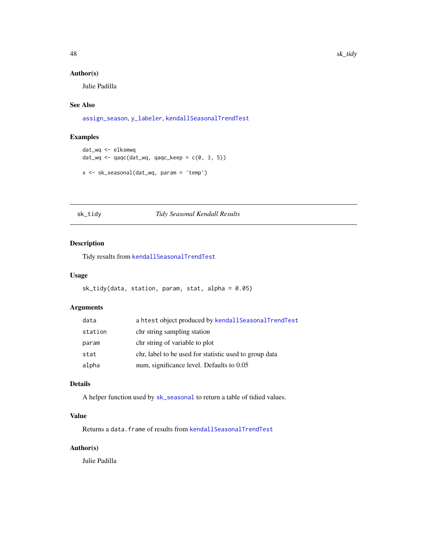# <span id="page-47-0"></span>Author(s)

Julie Padilla

# See Also

[assign\\_season](#page-4-1), [y\\_labeler](#page-62-1), [kendallSeasonalTrendTest](#page-0-0)

# Examples

```
dat_wq <- elksmwq
dat_wq <- qaqc(dat_wq, qaqc_keep = c(0, 3, 5))
```

```
x <- sk_seasonal(dat_wq, param = 'temp')
```
#### sk\_tidy *Tidy Seasonal Kendall Results*

# Description

Tidy results from [kendallSeasonalTrendTest](#page-0-0)

# Usage

```
sk_tidy(data, station, param, stat, alpha = 0.05)
```
# Arguments

| data    | a htest object produced by kendallSeasonalTrendTest    |
|---------|--------------------------------------------------------|
| station | chr string sampling station                            |
| param   | chr string of variable to plot                         |
| stat    | chr, label to be used for statistic used to group data |
| alpha   | num, significance level. Defaults to 0.05              |

# Details

A helper function used by [sk\\_seasonal](#page-45-1) to return a table of tidied values.

# Value

Returns a data. frame of results from [kendallSeasonalTrendTest](#page-0-0)

# Author(s)

Julie Padilla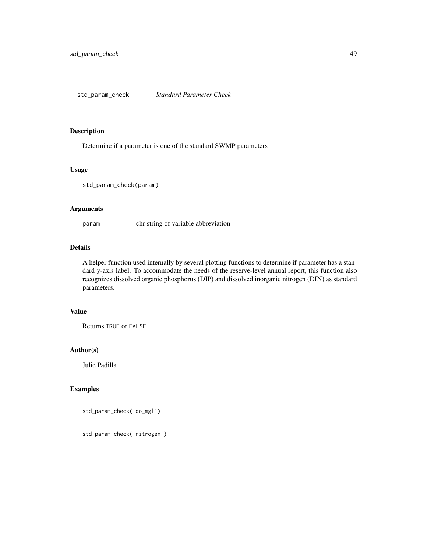# <span id="page-48-0"></span>Description

Determine if a parameter is one of the standard SWMP parameters

# Usage

std\_param\_check(param)

# Arguments

param chr string of variable abbreviation

# Details

A helper function used internally by several plotting functions to determine if parameter has a standard y-axis label. To accommodate the needs of the reserve-level annual report, this function also recognizes dissolved organic phosphorus (DIP) and dissolved inorganic nitrogen (DIN) as standard parameters.

# Value

Returns TRUE or FALSE

# Author(s)

Julie Padilla

# Examples

```
std_param_check('do_mgl')
```
std\_param\_check('nitrogen')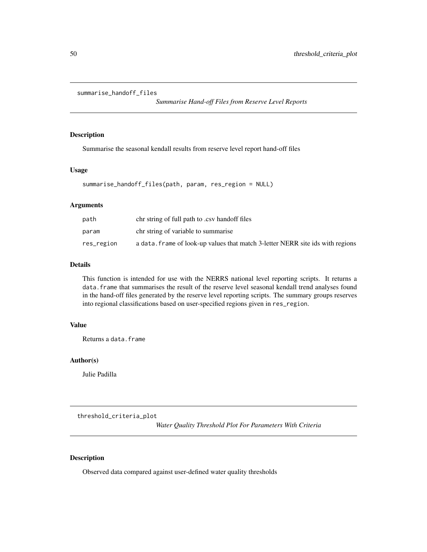```
summarise_handoff_files
```
*Summarise Hand-off Files from Reserve Level Reports*

# Description

Summarise the seasonal kendall results from reserve level report hand-off files

#### Usage

```
summarise_handoff_files(path, param, res_region = NULL)
```
#### Arguments

| path       | chr string of full path to .csv hand of files                                  |
|------------|--------------------------------------------------------------------------------|
| param      | chr string of variable to summarise                                            |
| res_region | a data. frame of look-up values that match 3-letter NERR site ids with regions |

# Details

This function is intended for use with the NERRS national level reporting scripts. It returns a data.frame that summarises the result of the reserve level seasonal kendall trend analyses found in the hand-off files generated by the reserve level reporting scripts. The summary groups reserves into regional classifications based on user-specified regions given in res\_region.

# Value

Returns a data.frame

# Author(s)

Julie Padilla

<span id="page-49-1"></span>threshold\_criteria\_plot

*Water Quality Threshold Plot For Parameters With Criteria*

#### Description

Observed data compared against user-defined water quality thresholds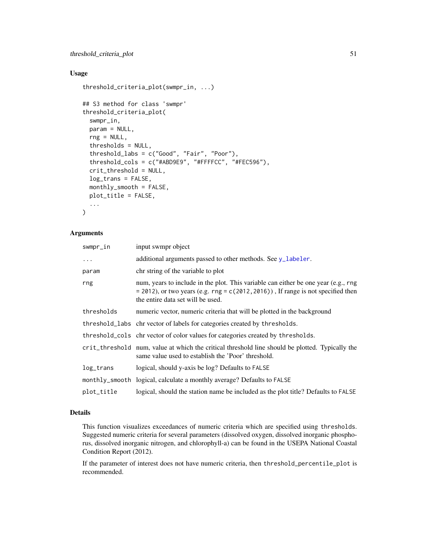# <span id="page-50-0"></span>Usage

```
threshold_criteria_plot(swmpr_in, ...)
```

```
## S3 method for class 'swmpr'
threshold_criteria_plot(
  swmpr_in,
 param = NULL,
  rng = NULL,thresholds = NULL,
  threshold_labs = c("Good", "Fair", "Poor"),
  threshold_cols = c("#ABD9E9", "#FFFFCC", "#FEC596"),
  crit_threshold = NULL,
  log_trans = FALSE,
 monthly_smooth = FALSE,
 plot_title = FALSE,
  ...
\mathcal{L}
```
#### Arguments

| swmpr_in   | input swmpr object                                                                                                                                                                                               |
|------------|------------------------------------------------------------------------------------------------------------------------------------------------------------------------------------------------------------------|
| $\cdots$   | additional arguments passed to other methods. See y_labeler.                                                                                                                                                     |
| param      | chr string of the variable to plot                                                                                                                                                                               |
| rng        | num, years to include in the plot. This variable can either be one year (e.g., rng)<br>$=$ 2012), or two years (e.g. rng $=$ c(2012, 2016)), If range is not specified then<br>the entire data set will be used. |
| thresholds | numeric vector, numeric criteria that will be plotted in the background                                                                                                                                          |
|            | threshold_labs chr vector of labels for categories created by thresholds.                                                                                                                                        |
|            | threshold_cols chritector of color values for categories created by thresholds.                                                                                                                                  |
|            | crit_threshold num, value at which the critical threshold line should be plotted. Typically the<br>same value used to establish the 'Poor' threshold.                                                            |
| log_trans  | logical, should y-axis be log? Defaults to FALSE                                                                                                                                                                 |
|            | monthly_smooth logical, calculate a monthly average? Defaults to FALSE                                                                                                                                           |
| plot_title | logical, should the station name be included as the plot title? Defaults to FALSE                                                                                                                                |

# Details

This function visualizes exceedances of numeric criteria which are specified using thresholds. Suggested numeric criteria for several parameters (dissolved oxygen, dissolved inorganic phosphorus, dissolved inorganic nitrogen, and chlorophyll-a) can be found in the USEPA National Coastal Condition Report (2012).

If the parameter of interest does not have numeric criteria, then threshold\_percentile\_plot is recommended.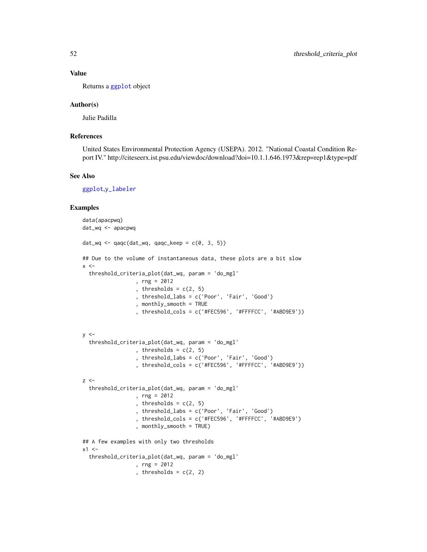# Value

Returns a [ggplot](#page-0-0) object

#### Author(s)

Julie Padilla

# References

United States Environmental Protection Agency (USEPA). 2012. "National Coastal Condition Report IV." http://citeseerx.ist.psu.edu/viewdoc/download?doi=10.1.1.646.1973&rep=rep1&type=pdf

#### See Also

[ggplot](#page-0-0),[y\\_labeler](#page-62-1)

#### Examples

```
data(apacpwq)
dat_wq <- apacpwq
dat_wq \leftarrow qaqc(data_wq, qaqc_keep = c(0, 3, 5))## Due to the volume of instantaneous data, these plots are a bit slow
x < -threshold_criteria_plot(dat_wq, param = 'do_mgl'
                 , rng = 2012
                 , thresholds = c(2, 5), threshold_labs = c('Poor', 'Fair', 'Good')
                 , monthly_smooth = TRUE
                 , threshold_cols = c('#FEC596', '#FFFFCC', '#ABD9E9'))
y < -threshold_criteria_plot(dat_wq, param = 'do_mgl'
                 , thresholds = c(2, 5), threshold_labs = c('Poor', 'Fair', 'Good')
                 , threshold_cols = c('#FEC596', '#FFFFCC', '#ABD9E9'))
z <-
  threshold_criteria_plot(dat_wq, param = 'do_mgl'
                 , rng = 2012
                 , thresholds = c(2, 5), threshold_labs = c('Poor', 'Fair', 'Good')
                 , threshold_cols = c('#FEC596', '#FFFFCC', '#ABD9E9')
                 , monthly_smooth = TRUE)
## A few examples with only two thresholds
x1 < -threshold_criteria_plot(dat_wq, param = 'do_mgl'
                 , rng = 2012
                 , thresholds = c(2, 2)
```
<span id="page-51-0"></span>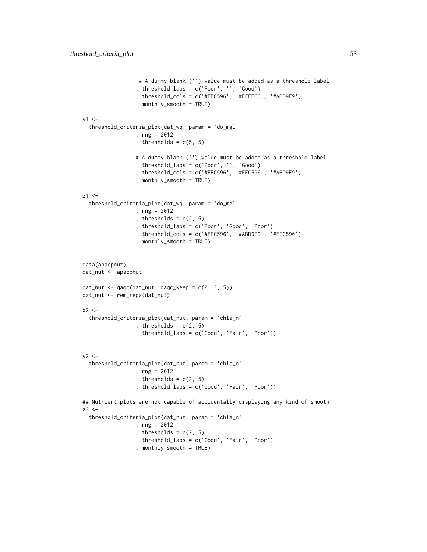```
# A dummy blank ('') value must be added as a threshold label
                 , threshold_labs = c('Poor', '', 'Good')
                 , threshold_cols = c('#FEC596', '#FFFFCC', '#ABD9E9')
                 , monthly_smooth = TRUE)
y1 < -threshold_criteria_plot(dat_wq, param = 'do_mgl'
                 , rng = 2012
                 , thresholds = c(5, 5)# A dummy blank ('') value must be added as a threshold label
                 , threshold_labs = c('Poor', '', 'Good')
                 , threshold_cols = c('#FEC596', '#FEC596', '#ABD9E9')
                 , monthly_smooth = TRUE)
z1 < -threshold_criteria_plot(dat_wq, param = 'do_mgl'
                 , rng = 2012
                 , thresholds = c(2, 5), threshold_labs = c('Poor', 'Good', 'Poor')
                 , threshold_cols = c('#FEC596', '#ABD9E9', '#FEC596')
                 , monthly_smooth = TRUE)
data(apacpnut)
dat_nut <- apacpnut
dat_nut <- qaqc(dat_nut, qaqc_keep = c(0, 3, 5))
dat_nut <- rem_reps(dat_nut)
x2 < -threshold_criteria_plot(dat_nut, param = 'chla_n'
                 , thresholds = c(2, 5), threshold_labs = c('Good', 'Fair', 'Poor'))
y2 <-
  threshold_criteria_plot(dat_nut, param = 'chla_n'
                 , rng = 2012
                 , thresholds = c(2, 5), threshold_labs = c('Good', 'Fair', 'Poor'))
## Nutrient plots are not capable of accidentally displaying any kind of smooth
z2 <-
  threshold_criteria_plot(dat_nut, param = 'chla_n'
                 , rng = 2012
                 , thresholds = c(2, 5), threshold_labs = c('Good', 'Fair', 'Poor')
                 , monthly_smooth = TRUE)
```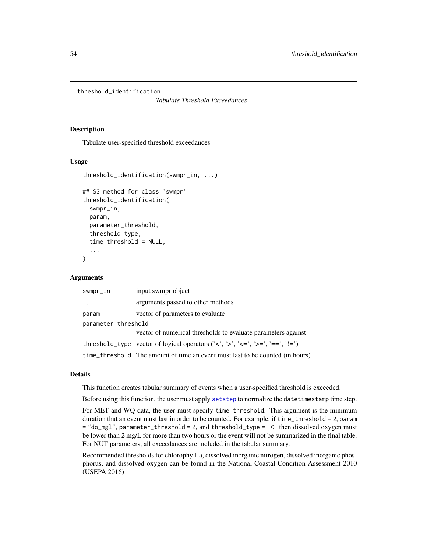<span id="page-53-1"></span><span id="page-53-0"></span>threshold\_identification

*Tabulate Threshold Exceedances*

#### Description

Tabulate user-specified threshold exceedances

#### Usage

```
threshold_identification(swmpr_in, ...)
## S3 method for class 'swmpr'
threshold_identification(
  swmpr_in,
  param,
  parameter_threshold,
  threshold_type,
  time_threshold = NULL,
  ...
)
```
#### Arguments

| swmpr_in            | input swmpr object                                                                                                                                                                             |  |
|---------------------|------------------------------------------------------------------------------------------------------------------------------------------------------------------------------------------------|--|
| .                   | arguments passed to other methods                                                                                                                                                              |  |
| param               | vector of parameters to evaluate                                                                                                                                                               |  |
| parameter_threshold |                                                                                                                                                                                                |  |
|                     | vector of numerical thresholds to evaluate parameters against                                                                                                                                  |  |
|                     | threshold_type vector of logical operators $(\langle \langle \cdot, \cdot \rangle \rangle, \langle \langle \langle -\rangle \rangle \rangle = \langle \langle \cdot, \cdot \rangle = \rangle)$ |  |
|                     | time_threshold The amount of time an event must last to be counted (in hours)                                                                                                                  |  |

#### Details

This function creates tabular summary of events when a user-specified threshold is exceeded.

Before using this function, the user must apply [setstep](#page-0-0) to normalize the datetimestamp time step.

For MET and WQ data, the user must specify time\_threshold. This argument is the minimum duration that an event must last in order to be counted. For example, if time\_threshold = 2, param = "do\_mgl", parameter\_threshold = 2, and threshold\_type = "<" then dissolved oxygen must be lower than 2 mg/L for more than two hours or the event will not be summarized in the final table. For NUT parameters, all exceedances are included in the tabular summary.

Recommended thresholds for chlorophyll-a, dissolved inorganic nitrogen, dissolved inorganic phosphorus, and dissolved oxygen can be found in the National Coastal Condition Assessment 2010 (USEPA 2016)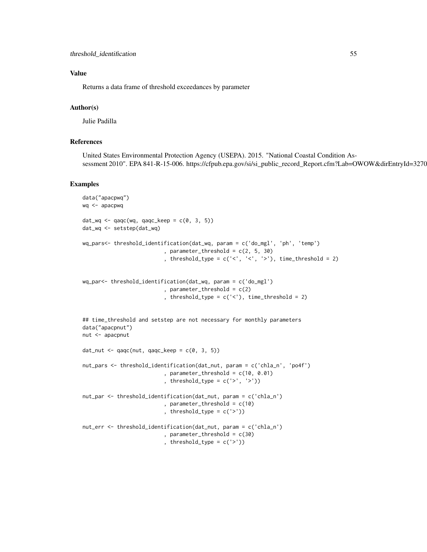# Value

Returns a data frame of threshold exceedances by parameter

# Author(s)

Julie Padilla

# References

United States Environmental Protection Agency (USEPA). 2015. "National Coastal Condition Assessment 2010". EPA 841-R-15-006. https://cfpub.epa.gov/si/si\_public\_record\_Report.cfm?Lab=OWOW&dirEntryId=327030

# Examples

```
data("apacpwq")
wq <- apacpwq
dat_wq \leftarrow qaqc(wq, qaqc\_{keep} = c(0, 3, 5))dat_wq <- setstep(dat_wq)
wq_pars<- threshold_identification(dat_wq, param = c('do_mgl', 'ph', 'temp')
                          , parameter_threshold = c(2, 5, 30), threshold_type = c('<', '<', '>), time_threshold = 2)
wq_par<- threshold_identification(dat_wq, param = c('do_mgl')
                          , parameter_threshold = c(2), threshold_type = c('<'), time_threshold = 2)
## time_threshold and setstep are not necessary for monthly parameters
data("apacpnut")
nut <- apacpnut
dat_nut <- qaqc(nut, qaqc_{keep} = c(0, 3, 5))nut_pars <- threshold_identification(dat_nut, param = c('chla_n', 'po4f')
                          , parameter_{threshold} = c(10, 0.01), threshold_type = c('>', '>))
nut_par <- threshold_identification(dat_nut, param = c('chla_n')
                          , parameter_threshold = c(10), threshold_type = c('>'))
nut_err <- threshold_identification(dat_nut, param = c('chla_n')
                          , parameter_threshold = c(30), threshold_type = c('>'))
```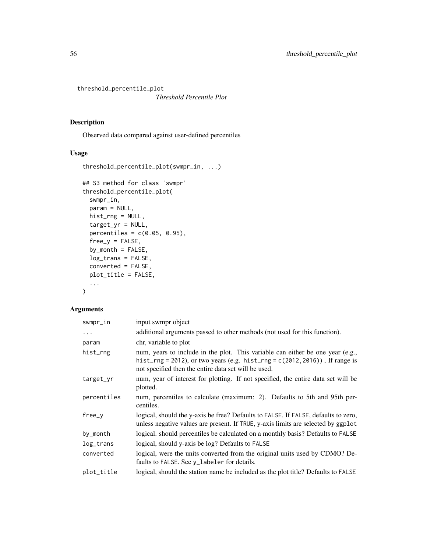<span id="page-55-0"></span>threshold\_percentile\_plot

*Threshold Percentile Plot*

# Description

Observed data compared against user-defined percentiles

# Usage

```
threshold_percentile_plot(swmpr_in, ...)
## S3 method for class 'swmpr'
threshold_percentile_plot(
  swmpr_in,
 param = NULL,
 hist_rng = NULL,
  target_yr = NULL,
 percentiles = c(0.05, 0.95),
 free_y = FALSE,by_month = FALSE,
 log_trans = FALSE,
 converted = FALSE,
 plot_title = FALSE,
  ...
)
```
# Arguments

| swmpr_in    | input swmpr object                                                                                                                                                                                                       |
|-------------|--------------------------------------------------------------------------------------------------------------------------------------------------------------------------------------------------------------------------|
| $\cdots$    | additional arguments passed to other methods (not used for this function).                                                                                                                                               |
| param       | chr, variable to plot                                                                                                                                                                                                    |
| hist_rng    | num, years to include in the plot. This variable can either be one year (e.g.,<br>hist_rng = 2012), or two years (e.g. hist_rng = $c(2012, 2016)$ ), If range is<br>not specified then the entire data set will be used. |
| target_yr   | num, year of interest for plotting. If not specified, the entire data set will be<br>plotted.                                                                                                                            |
| percentiles | num, percentiles to calculate (maximum: 2). Defaults to 5th and 95th per-<br>centiles.                                                                                                                                   |
| free_y      | logical, should the y-axis be free? Defaults to FALSE. If FALSE, defaults to zero,<br>unless negative values are present. If TRUE, y-axis limits are selected by ggplot                                                  |
| by_month    | logical. should percentiles be calculated on a monthly basis? Defaults to FALSE                                                                                                                                          |
| log_trans   | logical, should y-axis be log? Defaults to FALSE                                                                                                                                                                         |
| converted   | logical, were the units converted from the original units used by CDMO? De-<br>faults to FALSE. See y_labeler for details.                                                                                               |
| plot_title  | logical, should the station name be included as the plot title? Defaults to FALSE                                                                                                                                        |
|             |                                                                                                                                                                                                                          |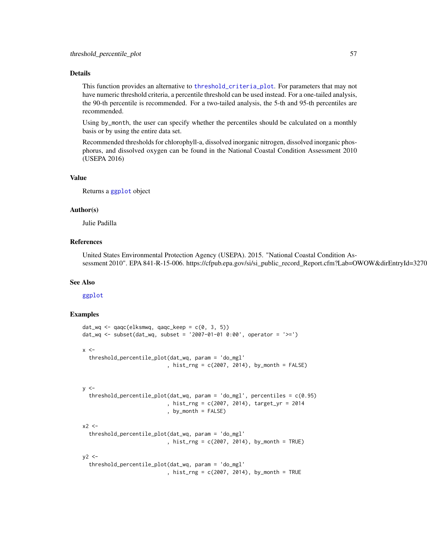#### <span id="page-56-0"></span>Details

This function provides an alternative to [threshold\\_criteria\\_plot](#page-49-1). For parameters that may not have numeric threshold criteria, a percentile threshold can be used instead. For a one-tailed analysis, the 90-th percentile is recommended. For a two-tailed analysis, the 5-th and 95-th percentiles are recommended.

Using by\_month, the user can specify whether the percentiles should be calculated on a monthly basis or by using the entire data set.

Recommended thresholds for chlorophyll-a, dissolved inorganic nitrogen, dissolved inorganic phosphorus, and dissolved oxygen can be found in the National Coastal Condition Assessment 2010 (USEPA 2016)

# Value

Returns a [ggplot](#page-0-0) object

#### Author(s)

Julie Padilla

# References

United States Environmental Protection Agency (USEPA). 2015. "National Coastal Condition Assessment 2010". EPA 841-R-15-006. https://cfpub.epa.gov/si/si\_public\_record\_Report.cfm?Lab=OWOW&dirEntryId=327030

#### See Also

#### [ggplot](#page-0-0)

#### Examples

```
dat_wq \leftarrow qaqc(elksmwg, qaqc_keep = c(0, 3, 5))dat_wq <- subset(dat_wq, subset = '2007-01-01 0:00', operator = '>=')
x < -threshold_percentile_plot(dat_wq, param = 'do_mgl'
                            , hist_rng = c(2007, 2014), by_month = FALSE)
y \leq -threshold_percentile_plot(dat_wq, param = 'do_mgl', percentiles = c(0.95)
                            , hist_rng = c(2007, 2014), target_yr = 2014
                            , by_month = FALSE)
x2 < -threshold_percentile_plot(dat_wq, param = 'do_mgl'
                            , hist_rng = c(2007, 2014), by_month = TRUE)
y2 < -threshold_percentile_plot(dat_wq, param = 'do_mgl'
                            , hist_rng = c(2007, 2014), by_month = TRUE
```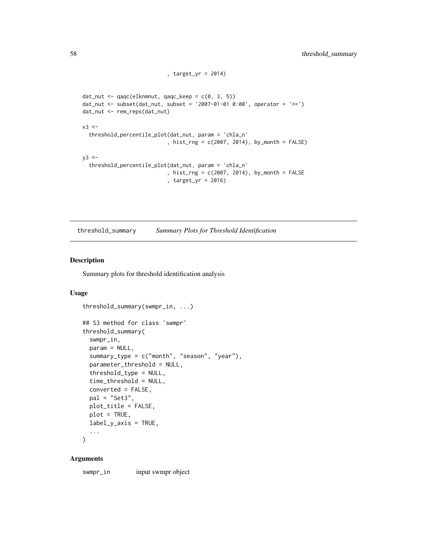```
, target_yr = 2014)
dat_nut <- qaqc(elknmnut, qaqc_keep = c(0, 3, 5))
dat_nut <- subset(dat_nut, subset = '2007-01-01 0:00', operator = '>=')
dat_nut <- rem_reps(dat_nut)
x3 < -threshold_percentile_plot(dat_nut, param = 'chla_n'
                           , hist_rng = c(2007, 2014), by_month = FALSE)
y3 <-
  threshold_percentile_plot(dat_nut, param = 'chla_n'
                            , hist_rng = c(2007, 2014), by_month = FALSE
                           , target_yr = 2016)
```
threshold\_summary *Summary Plots for Threshold Identification*

# Description

Summary plots for threshold identification analysis

#### Usage

```
threshold_summary(swmpr_in, ...)
## S3 method for class 'swmpr'
threshold_summary(
  swmpr_in,
 param = NULL,
  summary_type = c("month", "season", "year"),
 parameter_threshold = NULL,
  threshold_type = NULL,
  time_threshold = NULL,
  converted = FALSE,
 pal = "Set3",
 plot_title = FALSE,
 plot = TRUE,
 label_y-axis = TRUE,...
)
```
# Arguments

swmpr\_in input swmpr object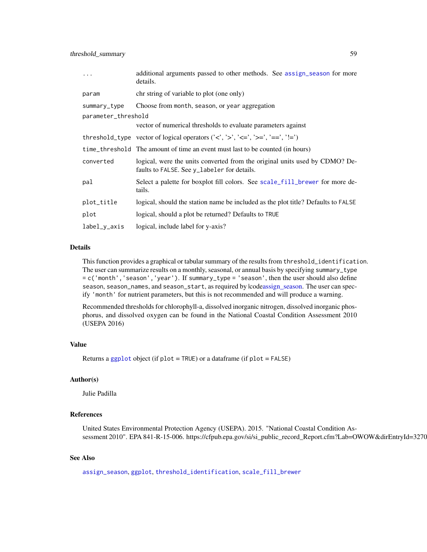<span id="page-58-0"></span>

| $\ddots$            | additional arguments passed to other methods. See assign_season for more<br>details.                                                                                                                       |
|---------------------|------------------------------------------------------------------------------------------------------------------------------------------------------------------------------------------------------------|
| param               | chr string of variable to plot (one only)                                                                                                                                                                  |
| summary_type        | Choose from month, season, or year aggregation                                                                                                                                                             |
| parameter_threshold |                                                                                                                                                                                                            |
|                     | vector of numerical thresholds to evaluate parameters against                                                                                                                                              |
|                     | threshold_type vector of logical operators $(\langle \langle \cdot, \cdot \rangle, \langle \langle \cdot, \cdot \rangle, \rangle) = \langle \cdot, \cdot \rangle = \langle \cdot, \cdot \rangle = \rangle$ |
|                     | time_threshold The amount of time an event must last to be counted (in hours)                                                                                                                              |
| converted           | logical, were the units converted from the original units used by CDMO? De-<br>faults to FALSE. See y_labeler for details.                                                                                 |
| pal                 | Select a palette for boxplot fill colors. See scale_fill_brewer for more de-<br>tails.                                                                                                                     |
| plot_title          | logical, should the station name be included as the plot title? Defaults to FALSE                                                                                                                          |
| plot                | logical, should a plot be returned? Defaults to TRUE                                                                                                                                                       |
| label_y_axis        | logical, include label for y-axis?                                                                                                                                                                         |

#### Details

This function provides a graphical or tabular summary of the results from threshold\_identification. The user can summarize results on a monthly, seasonal, or annual basis by specifying summary\_type = c('month','season','year'). If summary\_type = 'season', then the user should also define season, season\_names, and season\_start, as required by |cod[eassign\\_season.](#page-4-1) The user can specify 'month' for nutrient parameters, but this is not recommended and will produce a warning.

Recommended thresholds for chlorophyll-a, dissolved inorganic nitrogen, dissolved inorganic phosphorus, and dissolved oxygen can be found in the National Coastal Condition Assessment 2010 (USEPA 2016)

#### Value

Returns a [ggplot](#page-0-0) object (if plot = TRUE) or a dataframe (if plot = FALSE)

#### Author(s)

Julie Padilla

# References

United States Environmental Protection Agency (USEPA). 2015. "National Coastal Condition Assessment 2010". EPA 841-R-15-006. https://cfpub.epa.gov/si/si\_public\_record\_Report.cfm?Lab=OWOW&dirEntryId=3270

### See Also

[assign\\_season](#page-4-1), [ggplot](#page-0-0), [threshold\\_identification](#page-53-1), [scale\\_fill\\_brewer](#page-0-0)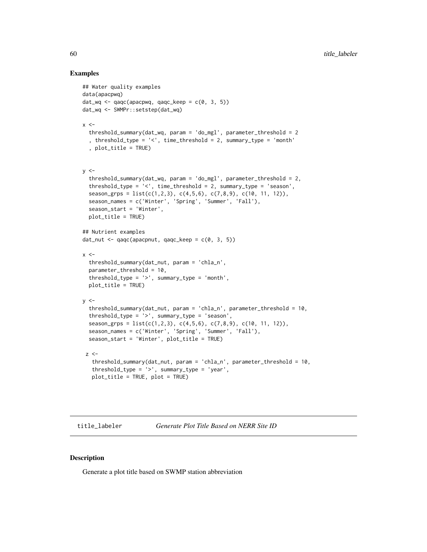#### Examples

```
## Water quality examples
data(apacpwq)
dat_wq \leftarrow qaqc(apacpwq, qaqc_keep = c(0, 3, 5))dat_wq <- SWMPr::setstep(dat_wq)
x < -threshold_summary(dat_wq, param = 'do_mgl', parameter_threshold = 2
  , threshold_type = '<', time_threshold = 2, summary_type = 'month'
  , plot_title = TRUE)
y \le -threshold_summary(dat_wq, param = 'do_mgl', parameter_threshold = 2,
  threshold_type = '<', time_threshold = 2, summary_type = 'season',
  season_grps = list(c(1,2,3), c(4,5,6), c(7,8,9), c(10, 11, 12)),season_names = c('Winter', 'Spring', 'Summer', 'Fall'),
  season_start = 'Winter',
  plot_title = TRUE)
## Nutrient examples
dat_nut <- qaqc(apacpnut, qaqc_{keep} = c(0, 3, 5))x < -threshold_summary(dat_nut, param = 'chla_n',
  parameter_threshold = 10,
  threshold_type = '>', summary_type = 'month',
  plot_title = TRUE)
y < -threshold_summary(dat_nut, param = 'chla_n', parameter_threshold = 10,
  threshold_type = '>', summary_type = 'season',
  season_grps = list(c(1,2,3), c(4,5,6), c(7,8,9), c(10, 11, 12)),
  season_names = c('Winter', 'Spring', 'Summer', 'Fall'),
  season_start = 'Winter', plot_title = TRUE)
 z < -threshold_summary(dat_nut, param = 'chla_n', parameter_threshold = 10,
   threshold_type = '>', summary_type = 'year',
   plot_title = TRUE, plot = TRUE)
```
title\_labeler *Generate Plot Title Based on NERR Site ID*

### Description

Generate a plot title based on SWMP station abbreviation

<span id="page-59-0"></span>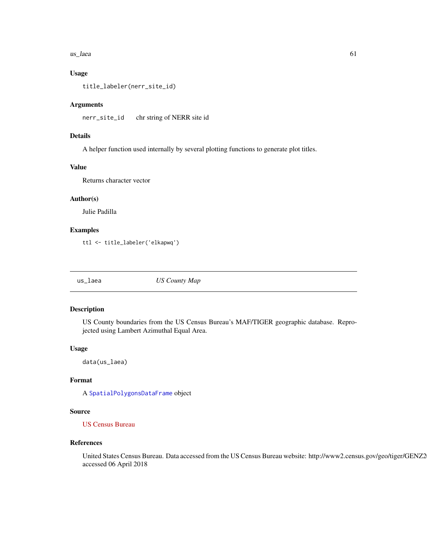#### <span id="page-60-0"></span> $\mu$ s\_laea 61

# Usage

title\_labeler(nerr\_site\_id)

#### Arguments

nerr\_site\_id chr string of NERR site id

# Details

A helper function used internally by several plotting functions to generate plot titles.

#### Value

Returns character vector

#### Author(s)

Julie Padilla

# Examples

ttl <- title\_labeler('elkapwq')

us\_laea *US County Map*

#### Description

US County boundaries from the US Census Bureau's MAF/TIGER geographic database. Reprojected using Lambert Azimuthal Equal Area.

#### Usage

data(us\_laea)

### Format

A [SpatialPolygonsDataFrame](#page-0-0) object

#### Source

[US Census Bureau](https://www.census.gov/geographies/mapping-files.html)

#### References

United States Census Bureau. Data accessed from the US Census Bureau website: http://www2.census.gov/geo/tiger/GENZ2 accessed 06 April 2018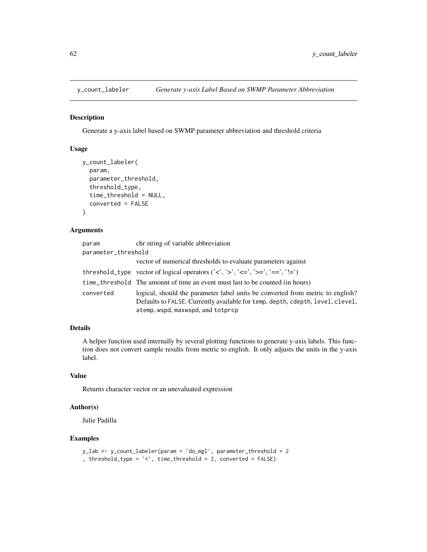<span id="page-61-0"></span>

#### Description

Generate a y-axis label based on SWMP parameter abbreviation and threshold criteria

# Usage

```
y_count_labeler(
  param,
 parameter_threshold,
  threshold_type,
  time_threshold = NULL,
  converted = FALSE
)
```
# Arguments

| param               | chr string of variable abbreviation                                                                                                                                                                                             |
|---------------------|---------------------------------------------------------------------------------------------------------------------------------------------------------------------------------------------------------------------------------|
| parameter_threshold |                                                                                                                                                                                                                                 |
|                     | vector of numerical thresholds to evaluate parameters against                                                                                                                                                                   |
|                     | threshold_type vector of logical operators $(\langle \langle \cdot, \cdot \rangle, \langle \langle \cdot, \cdot \rangle, \langle \cdot, \cdot \rangle) = \langle \cdot, \cdot \rangle = \langle \cdot, \cdot \rangle = \rangle$ |
|                     | time_threshold The amount of time an event must last to be counted (in hours)                                                                                                                                                   |
| converted           | logical, should the parameter label units be converted from metric to english?<br>Defaults to FALSE. Currently available for temp, depth, cdepth, level, clevel,<br>atemp, wspd, maxwspd, and totprcp                           |

# Details

A helper function used internally by several plotting functions to generate y-axis labels. This function does not convert sample results from metric to english. It only adjusts the units in the y-axis label.

# Value

Returns character vector or an unevaluated expression

# Author(s)

Julie Padilla

# Examples

```
y_lab <- y_count_labeler(param = 'do_mgl', parameter_threshold = 2
, threshold_type = '<', time_threshold = 2, converted = FALSE)
```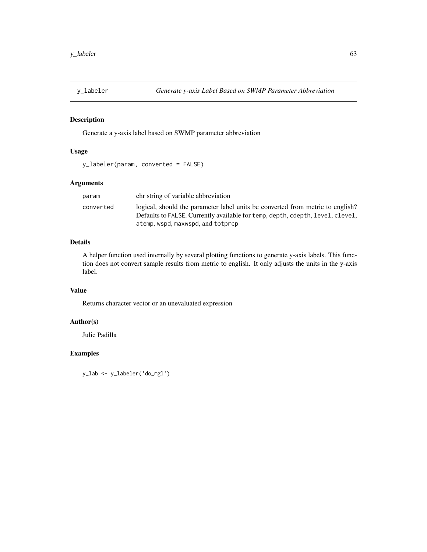<span id="page-62-1"></span><span id="page-62-0"></span>

# Description

Generate a y-axis label based on SWMP parameter abbreviation

# Usage

```
y_labeler(param, converted = FALSE)
```
# Arguments

| param     | chr string of variable abbreviation                                                                                                                              |
|-----------|------------------------------------------------------------------------------------------------------------------------------------------------------------------|
| converted | logical, should the parameter label units be converted from metric to english?<br>Defaults to FALSE. Currently available for temp, depth, cdepth, level, clevel, |
|           | atemp, wspd, maxwspd, and totprcp                                                                                                                                |

# Details

A helper function used internally by several plotting functions to generate y-axis labels. This function does not convert sample results from metric to english. It only adjusts the units in the y-axis label.

#### Value

Returns character vector or an unevaluated expression

# Author(s)

Julie Padilla

# Examples

y\_lab <- y\_labeler('do\_mgl')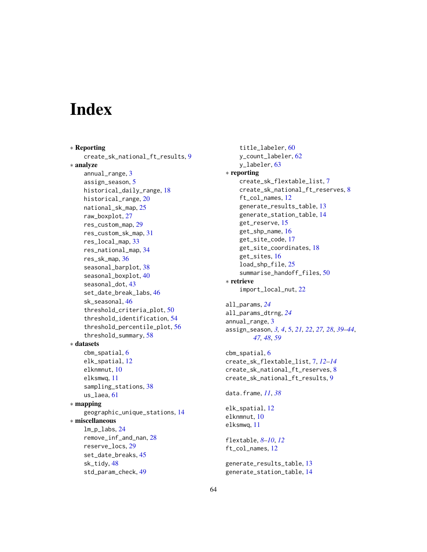# <span id="page-63-0"></span>**Index**

∗ Reporting create\_sk\_national\_ft\_results, [9](#page-8-0) ∗ analyze annual\_range, [3](#page-2-0) assign\_season, [5](#page-4-0) historical\_daily\_range, [18](#page-17-0) historical\_range, [20](#page-19-0) national\_sk\_map, [25](#page-24-0) raw\_boxplot, [27](#page-26-0) res\_custom\_map, [29](#page-28-0) res\_custom\_sk\_map, [31](#page-30-0) res\_local\_map, [33](#page-32-0) res\_national\_map, [34](#page-33-0) res\_sk\_map, [36](#page-35-0) seasonal\_barplot, [38](#page-37-0) seasonal\_boxplot, [40](#page-39-0) seasonal\_dot, [43](#page-42-0) set\_date\_break\_labs, [46](#page-45-0) sk\_seasonal, [46](#page-45-0) threshold\_criteria\_plot, [50](#page-49-0) threshold\_identification, [54](#page-53-0) threshold\_percentile\_plot, [56](#page-55-0) threshold\_summary, [58](#page-57-0) ∗ datasets cbm\_spatial, [6](#page-5-0) elk\_spatial, [12](#page-11-0) elknmnut, [10](#page-9-0) elksmwq, [11](#page-10-0) sampling\_stations, [38](#page-37-0) us\_laea, [61](#page-60-0) ∗ mapping geographic\_unique\_stations, [14](#page-13-0) ∗ miscellaneous lm\_p\_labs, [24](#page-23-0) remove\_inf\_and\_nan, [28](#page-27-0) reserve\_locs, [29](#page-28-0) set\_date\_breaks, [45](#page-44-0) sk\_tidy, [48](#page-47-0) std\_param\_check, [49](#page-48-0)

```
title_labeler, 60
    y_count_labeler, 62
    y_labeler, 63
∗ reporting
    create_sk_flextable_list, 7
    create_sk_national_ft_reserves, 8
    ft_col_names, 12
    generate_results_table, 13
    generate_station_table, 14
    get_reserve, 15
    get_shp_name, 16
    get_site_code, 17
    get_site_coordinates, 18
    get_sites, 16
    load_shp_file, 25
    summarise_handoff_files, 50
∗ retrieve
    import_local_nut, 22
all_params, 24
all_params_dtrng, 24
annual_range, 3
assign_season, 3, 4, 5, 21, 22, 27, 28, 39–44,
        47, 48, 59
cbm_spatial, 6
create_sk_flextable_list, 7, 12–14
create_sk_national_ft_reserves, 8
create_sk_national_ft_results, 9
data.frame, 11, 38
elk_spatial, 12
elknmnut, 10
elksmwq, 11
flextable, 8–10, 12
ft_col_names, 12
generate_results_table, 13
generate_station_table, 14
```